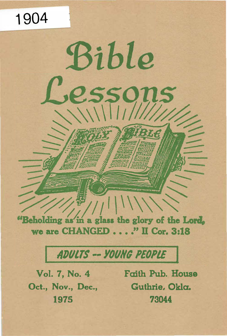"Beholding as in a glass the glory of the Lord, we are CHANGED . . . . " II Cor. 3:18

Bible

**SSO** 

# ADULTS -- YOUNG PEOPLE

Oct., Nov., Dec., Guthrie, Okla.

1904

Vol. 7, No. 4 Faith Pub. House 1975 73044

ns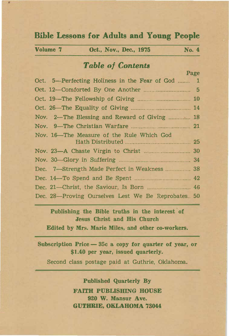# Bible Lessons for Adults and Young People

| Volume 7 | Oct., Nov., Dec., 1975 |  | No. 4 |  |
|----------|------------------------|--|-------|--|
|          |                        |  |       |  |

# **Table of Contents**

Page Oct. 5-Perfecting Holiness in the Fear of God ........ 1 Oct. 12-Comforted By One Another .............................. 5 Oct. 19-The Fellowship of Giving .................................. 10 Oct. 26---The Equality of Giving ...................................... 14 Nov. 2-The Blessing and Reward of Giving ............. 18 Nov. 9-The Christian Warfare ................................ ... 21 Nov. 16-The Measure of the Rule Which God Hath Distributed ..... .................................... 25 Nov. 23-A Chaste Virgin to Christ .............................. 30 Nov. 30--Glory in Suffering ....... .... . .......................... 34 Dec. 7-Strength Made Perfect in Weakness ................. 38 Dec. 14-To Spend and Be Spent .... . ............................ 42 Dec. 21-Christ, the Saviour, Is Born ..... .... . .... .... 46 Dec. 28-Proving Ourselves Lest We Be Reprobates. 50

Publishing the Bible truths in the interest of Jesus Christ and His Church

Edited by Mrs. Marie Miles, and other co-workers.

Subscription Price  $-$  35c a copy for quarter of year, or \$1.40 per year, issued quarterly.

Second class postage paid at Guthrie, Oklahoma.

Published Quarterly By FAITH PUBLISHING HOUSE 920 W. Mansur Ave. GUTHRIE, OKLAHOMA 73044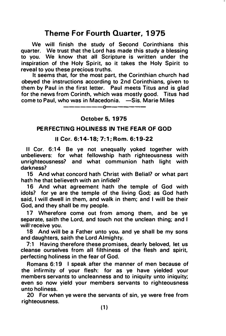# Theme For Fourth Quarter, 1975

We will finish the study of Second Corinthians this quarter. We trust that the Lord has made this study a· blessing to you. We know that all Scripture is written under the inspiration of the Holy Spirit, so it takes the Holy Spirit to reveal to you these precious truths.

It seems that, for the most part, the Corinthian church had obeyed the instructions according to 2nd Corinthians, given to them by Paul in the first letter. Paul meets Titus and is glad for the news from Corinth, which was mostly good. Titus had come to Paul, who was in Macedonia. - Sis. Marie Miles

-------o-

# October 5, 1975

# PERFECTING HOLINESS IN THE FEAR OF GOD

#### II Cor. 6:1 4-18; 7:1; Rom. 6 :19-22

II Cor. 6:14 Be ye not unequally yoked together with unbelievers: for what fellowship hath righteousness with unrighteousness? and what communion hath light with darkness?

15 And what concord hath Christ with Belial? or what part hath he that believeth with an infidel?

16 And what agreement hath the temple of God with idols? for ye are the temple of the living God; as God hath said, I will dwell in them, and walk in them; and I will be their God, and they shall be my people.

17 Wherefore come out from among them, and be ye separate, saith the Lord, and touch not the unclean thing; and I will receive you.

18 And will be a Father unto you, and ye shall be my sons and daughters, saith the Lord Almighty.

7:1 Having therefore these promises, dearly beloved, let us cleanse ourselves from all filthiness of the flesh and spirit, perfecting holiness in the fear of God.

Romans 6:19 I speak after the manner of men because of the infirmity of your flesh: for as ye have yielded your members servants to uncleanness and to iniquity unto iniquity; even so now yield your members servants to righteousness unto holiness.

20 For when ye were the servants of sin, ye were free from righteousness.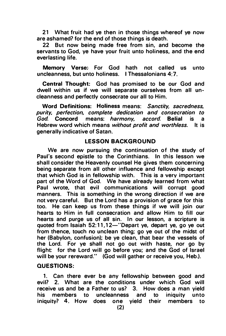21 What fruit had ye then in those things whereof ye now are ashamed? for the end of those things is death.

22 But now being made free from sin, and become the servants to God, ye have your fruit unto holiness, and the end everlasting life.

Memory Verse: For God hath not called us unto uncleanness, but unto holiness. I Thessalonians 4:7.

Central Thought: God has promised to be our God and dwell within us if we will separate ourselves from all uncleanness and perfectly consecrate our all to Him.

Word Definitions: Holiness means: Sanctity, sacredness, purity, perfection, complete dedication and consecration to God. Concord means: harmony, accord. Belial is a Hebrew word which means without profit and worthless. It is generally indicative of Satan.

#### LESSON BACKGROUND

We are now pursuing the continuation of the study of Paul's second epistle to the Corinthians. In this lesson we shall consider the Heavenly counsel He gives them concerning being separate from all other influence and fellowship except that which God is in fellowship with. This is a very important part of the Word of God. We have already learned from what Paul wrote, that evil communications will corrupt good manners. This is something in the wrong direction if we are not very careful. But the Lord has a provision of grace for this too. He can keep us from these things if we will join our hearts to Him in full consecration and allow Him to fill our hearts and purge us of all sin. In our lesson, a scripture is quoted from Isaiah 52:11,12-"Depart ye, depart ye, go ye out from thence, touch no unclean thing; go ye out of the midst of her (Babylon, confusion); be ye clean, that bear the vessels of the Lord. For ye shall not go out with haste, nor go by flight: for the Lord will go before you; and the God of Israel will be your rereward." (God will gather or receive you, Heb.).

#### QUESTIONS:

1. Can there ever be any fellowship between good and evil? 2. What are the conditions under which God will receive us and be a Father to us? 3. How does a man yield<br>his members to uncleanness and to iniquity unto his members to uncleanness and to iniquity unto iniquity? 4. How does one yield their members to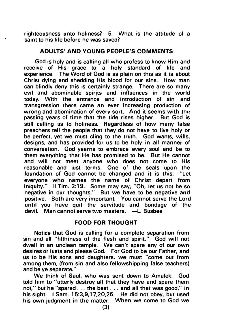righteousness unto holiness? 5. What is the attitude of a saint to his life before he was saved?

# ADULTS' AND YOUNG PEOPLE'S COMMENTS

God is holy and is calling all who profess to know Him and reoeive of His grace to a holy standard of life and experience. The Word of God is as plain on this as it is about Christ dying and shedding His blood for our sins. How man can blindly deny this is certainly strange. There are so many evil and abominable spirits and influences in the world today. With the entrance and introduction of sin and transgression there came an ever increasing production of wrong and abomination of every sort. And it seems with the passing years of time that the tide rises higher. But God is still calling us to holiness. Regardless of how many false preachers tell the people that they do not have to live holy or be perfect, yet we must cling to the truth. God wants, wills, designs, and has provided for us to be holy in all manner of conversation. God yearns to embrace every soul and be to them everything that He has promised to be. But He cannot and will not meet anyone who does not come to His reasonable and just terms. One of the seals upon the foundation of God cannot be changed and it is this: "Let everyone who names the name of Christ depart from iniquity." Il Tim. 2:19. Some may say, "Oh, let us not be so negative in our thoughts." But we have to be negative and positive. Both are very important. You cannot serve the Lord until you have quit the servitude and bondage of the devil. Man cannot serve two masters.  $-L$ . Busbee

# FOOD FOR THOUGHT

Notice that God is calling for a complete separation from sin and all "filthiness of the flesh and spirit." God will not dwell in an unclean temple. We can't spare any of our own desires or lusts and please God. For God to be our Father, and us to be His sons and daughters. we must "come out from among them, (from sin and also fellowshipping false teachers) and be ye separate."

We think of Saul, who was sent down to Amalek. God told him to "utterly destroy all that they have and spare them not," but he "spared . . . the best . . . and all that was good," in his sight. I Sam. 15:3,9,17,20,26. He did not obey, but used his own judgment in the matter. When we come to God we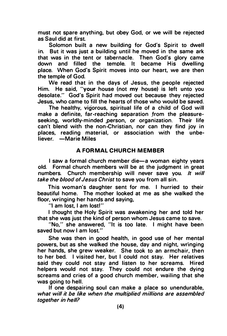must not spare anything, but obey God, or we will be rejected as Saul did at first.

Solomon built a new building for God's Spirit to dwell in. But it was just a building until he moved in the same ark that was in the tent or tabernacle. Then God's glory came down and filled the temole. It became His dwelling place. When God's Spirit moves into our heart, we are then the temple of God.

We read that in the days of Jesus, the people rejected Him. He said, "your house (not my house) is left unto you desolate." God's Spirit had moved out because they rejected Jesus, who came to fill the hearts of those who would be saved.

The healthy, vigorous, spiritual life of a child of God will make a definite, far-reaching separation from the pleasureseeking, worldly-minded person, or organization. Their life can't blend with the non-Christian, nor can they find joy in places, reading material, or association with the unbeliever. - Marie Miles

# A FORMAL CHURCH MEMBER

I saw a formal church member die-a woman eighty years old. Formal church members will be at the judgment in great numbers. Church membership will never save you. It will take the blood of Jesus Christ to save you from all sin.

This woman's daughter sent for me. I hurried to their beautiful home. The mother looked at me as she walked the floor, wringing her hands and saying,

"I am lost, I am lost!"

I thought the Holy Spirit was awakening her and told her that she was just the kind of person whom Jesus came to save.

"No," she answered, "It is too late. I might have been saved but now I am lost."

She was then in good health, in good use of her mental powers, but as she walked the house, day and night, wringing her hands, she grew weaker. She took to an armchair, then to her bed. I visited her, but I could not stay. Her relatives said they could not stay and listen to her screams. Hired helpers would not stay. They could not endure the dying screams and cries of a good church member, wailing that she was going to hell.

If one despairing soul can make a place so unendurable, what will it be like when the multiplied millions are assembled together in hell?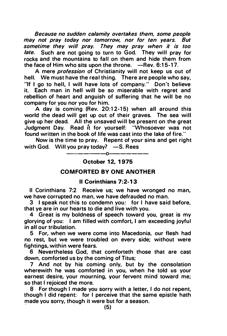Because no sudden calamity overtakes them, some people may not pray today nor tomorrow, nor for ten years. But sometime they will pray. They may pray when it is too late. Such are not going to turn to God. They will pray for rocks and the mountains to fall on them and hide them from the face of Him who sits upon the throne.  $-$ Rev. 6:15-17.

A mere profession of Christianity will not keep us out of hell. We must have the real thing. There are people who say, "If I go to hell, I will have lots of company." Don't believe it. Each man in hell will be so miserable with regret and rebellion of heart and anguish of suffering that he will be no company for you nor you for him.

A day is coming (Rev. 20:12-15) when all around this world the dead will get up out of their graves. The sea will give up her dead. All the unsaved will be present on the great Judgment Day. Read it for yourself: "Whosoever was not found written in the book of life was cast into the lake of fire."

Now is the time to pray. Repent of your sins and get right with God. Will you pray today?  $-$  S. Rees

# ------0------- 0ctober 12, 1975

# COMFORTED BY ONE ANOTHER

#### II Corinthians 7:2-13

II Corinthians 7:2 Receive us; we have wronged no man, we have corrupted no man, we have defrauded no man.

3 I speak not this to condemn you: for I have said before, that ye are in our hearts to die and live with you.

4 Great is my boldness of speech toward you, great is my glorying of you: I am filled with comfort, I am exceeding joyful in all our tribulation.

5 For, when we were come into Macedonia, our flesh had no rest, but we were troubled on every side; without were fightings, within were fears.

6 Nevertheless God, that comforteth those that are cast down, comforted us by the coming of Titus;

7 And not by his coming only, but by the consolation wherewith he was comforted in you, when he told us your earnest desire, your mourning, your fervent mind toward me; so that I rejoiced the more.

8 For though I made you sorry with a letter, I do not repent, though I did repent: for I perceive that the same epistle hath made you sorry, though it were but for a season.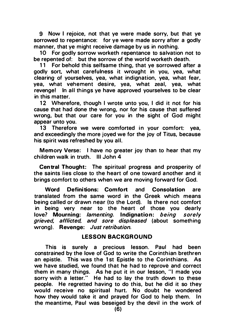9 Now I rejoice, not that ye were made sorry, but that ye sorrowed to repentance: for ye were made sorry after a godly manner, that ye might receive damage by us in nothing.

10 For godly sorrow worketh repentance to salvation not to be repented of: but the sorrow of the world worketh death.<br>11 For behold this selfsame thing, that ye sorrowed after

For behold this selfsame thing, that ye sorrowed after a godly sort, what carefulness it wrought in you, yea, what clearing of yourselves, yea, what indignation, yea, what fear, yea, what vehement desire, yea, what zeal, yea, what revenge! In all things ye have approved yourselves to be clear in this matter.

12 Wherefore, though I wrote unto you, I did it not for his cause that had done the wrong, nor for his cause that suffered wrong, but that our care for you in the sight of God might appear unto you.

13 Therefore we were comforted in your comfort: yea, and exceedingly the more joyed we for the joy of Titus, because his spirit was refreshed by you all.

Memory Verse: I have no greater joy than to hear that my children walk in truth. Ill John 4

Central Thought: The spiritual progress and prosperity of the saints lies close to the heart of one toward another and it brings comfort to others when we are moving forward for God.

Word Definitions: Comfort and Consolation are translated from the same word in the Greek which means being called or drawn near (to the Lord). Is there not comfort in being very near to the heart of those you dearly love? Mourning: lamenting. Indignation: being sorely grieved, afflicted, and sore displeased (about something wrong). Revenge: Just retribution.

# LESSON BAC KGROUND

This is surely a precious lesson. Paul had been constrained by the love of God to write the Corinthian brethren an epistle. This was the 1st Epistle to the Corinthians. As we have studied, we found that he had to reprove and correct them in many things. As he put it in our lesson, "I made you sorry with a letter." He had to lay the truth down to these people. He regretted having to do this, but he did it so they would receive no spiritual hurt. No doubt he wondered how they would take it and prayed for God to help them. In the meantime, Paul was beseiged by the devil in the work of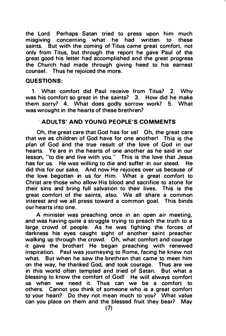the Lord. Perhaps Satan tried to press upon him much misgiving concerning what he had written to these saints. But with the coming of Titus came great comfort, not only from Titus, but through the report he gave Paul of the great good his letter had accomplished and the great progress the Church had made through giving heed to his earnest counsel. Thus he rejoiced the more.

#### QUESTIONS:

1. What comfort did Paul receive from Titus? 2. Why was his comfort so great in the saints? 3. How did he make them sorry? 4. What does godly sorrow work? 5. What was wrought in the hearts of these brethren?

# . ADULTS' AND YOUNG PEOPLE'S COMMENTS

Oh, the great care that God has for usl Oh, the great care that we as children of God have for one another! This is the plan of God and the true result of the love of God in our hearts. Ye are in the hearts of one another as he said in our lesson, "to die and live with you. " This is the love that Jesus has for us. He was willing to die and suffer in our stead. He did this for our sake. And now He rejoices over us because of the love begotten in us for Him. What a great comfort to Christ are those who allow His blood and sacrifice to atone for their sins and bring full salvation to their lives. This is the great comfort of the saints, also. We all share a common interest and we all press toward a common goal. This binds our hearts into one.

A minister was preaching once in an open air meeting, and was having quite a struggle trying to preach the truth to a large crowd of people. As he was fighting the forces of darkness his eyes caught sight of another saint preacher walking up through the crowd. Oh, what comfort and courage it gave the brotherl He began preaching with renewed inspiration. Paul was journeying to Rome, facing he knew not what. But when he saw the brethren that came to meet him on the way, he thanked God, and took courage. Thus are we in this world often tempted and tried of Satan. But what a blessing to know the comfort of Godl He will always comfort us when we need it. Thus can we be a comfort to others. Cannot you think of someone who is a great comfort to your heart? Do they not mean much to you? What value can you place on them and the blessed fruit they bear? May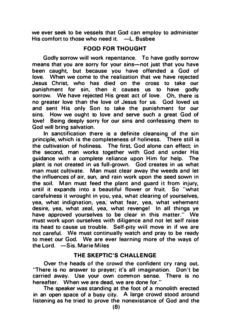we ever seek to be vessels that God can employ to administer His comfort to those who need it.  $-L$ . Busbee

# FOOD FOR THOUGHT

Godly sorrow will work repentance. To have godly sorrow means that you are sorry for your sins-not just that you have been caught, but because you have offended a God of love. When we come to the realization that we have rejected Jesus Christ, who has died on the cross to take our punishment for sin, then it causes us to have godly sorrow. We have rejected His great act of love. Oh, there is no greater love than the love of Jesus for us. God loved us and sent His only Son to take the punishment for our sins. How we ought to love and serve such a great God of love! Being deeply sorry for our sins and confessing them to God will bring salvation.

In sanctification there is a definite cleansing of the sin principle, which is the completeness of holiness. There still is the cultivation of holiness. The first, God alone can effect; in the second, man works together with God and under His guidance with a complete reliance upon Him for help. The plant is not created in us full-grown. God creates in us what man must cultivate. Man must clear away the weeds and let the influences of air, sun, and rain work upon the seed sown in the soil. Man must feed the plant and guard it from injury, until it expands into a beautiful flower or fruit. So "what carefulness it wrought in you, yea, what clearing of yourselves, yea, what indignation, yea, what fear, yea, what vehement desire, yea, what zeal, yea, what revenge! In all things ye have approved yourselves to be clear in this matter." We must work upon ourselves with diligence and not let self raise its head to cause us trouble. Self-pity will move in if we are not careful. We must continually watch and pray to be ready to meet our God. We are ever learning more of the ways of the Lord. - Sis. Marie Miles

# THE SKEPTIC'S CHALLENGE

Over the heads of the crowd the confident cry rang out, "There is no answer to prayer; it's all imagination. Don't be carried away. Use your own common sense. There is no hereafter. When we are dead, we are done for."

The speaker was standing at the foot of a monolith erected in an open space of a busy city. A large crowd stood around listening as he tried to prove the nonexistance of God and the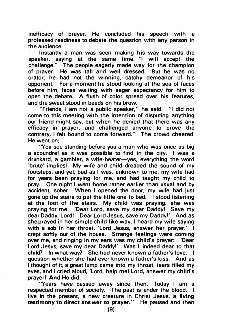inefficacy of prayer. He concluded his speech with a professed readiness to debate the question with any person in the audience.

Instantly a man was seen making his way towards the speaker, saying at the same time, "I will accept the challenge." The people eagerly made way for the champion of prayer. He was tall and well dressed. But he was no orator; he had not the winning, catchy demeanor of his opponent. For a moment he stood looking at the sea of faces before him, faces waiting with eager expectancy for him to open the debate. A flush of color spread over his features, and the sweat stood in beads on his brow.

"Friends, I am not a public speaker," he said. "I did not come to this meeting with the intention of disputing anything our friend might say, but when he denied that there was any efficacy in prayer, and challenged anyone to prove the contrary, I felt bound to come forward." The crowd cheered. He went on:

"You see standing before you a man who was once as big a scoundrel as it was possible to find in the city. I was a drunkard, a gambler, a wife-beater-yes, everything the word 'brute' implies! My wife and child dreaded the sound of my footsteps, and yet, bad as I was, unknown to me, my wife had for years been praying for me, and had taught my child to pray. One night I went home rather earlier than usual and by accident, sober. When I opened the door, my wife had just gone up the stairs to put the little one to bed. I stood listening at the foot of the stairs. My child was praying; she was praying for me. 'Dear Lord, save my dear Daddyl Save my dear Daddy, Lordi Dear Lord Jesus, save my Daddyl' And as she prayed in her simple child-like way, I heard my wife saying with a sob in her throat, 'Lord Jesus, answer her prayer.' I crept softly out of the house. Strange feelings were coming over me, and ringing in my ears was my child's prayer: 'Dear Lord Jesus, save my dear Daddyl' Was I indeed dear to that child? In what way? She had never known a father's love. I question whether she had ever known a father's kiss. And as I thought of it, a great lump came into my throat, tears filled my eyes, and I cried aloud, 'Lord, help mel Lord, answer my child's prayer!' And He did.

"Years have passed away since then. Today I am a respected member of society. The past is under the blood. I live in the present, a new creature in Christ Jesus, a living testimony to direct answer to prayer." He paused and then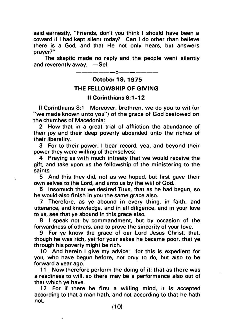said earnestly, "Friends, don't you think I should have been a coward if I had kept silent today? Can I do other than believe there is a God, and that He not only hears, but answers prayer?"

The skeptic made no reply and the people went silently and reverently away.  $-$ Sel.

 $- -0-$ 

0ctober 19. 1975

# THE FELLOWSHIP OF GIVING

# II Corinthians 8:1-12

II Corinthians 8:1 Moreover, brethren, we do you to wit (or "we made known unto you") of the grace of God bestowed on the churches of Macedonia;

2 How that in a great trial of affliction the abundance of their joy and their deep poverty abounded unto the riches of their liberality.

3 For to their power, I bear record, yea, and beyond their power they were willing of themselves;

4 Praying us with much intreaty that we would receive the gift, and take upon us the fellowship of the ministering to the saints.

5 And this they did, not as we hoped, but first gave their own selves to the Lord, and unto us by the will of God.

6 Insomuch that we desired Titus, that as he had begun, so he would also finish in you the same grace also.

7 Therefore, as ye abound in every thing, in faith, and utterance, and knowledge, and in all diligence, and in your love to us, see that ye abound in this grace also.

8 I speak not by commandment, but by occasion of the forwardness of others, and to prove the sincerity of your love.

9 For ye know the grace of our Lord Jesus Christ, that, though he was rich, yet for your sakes he became poor, that ye through his poverty might be rich.

10 And herein I give my advice: for this is expedient for you, who have begun before, not only to do, but also to be forward a year ago.

11 Now therefore perform the doing of it; that as there was a readiness to will, so there may be a performance also out of that which ye have.

12 For if there be first a willing mind, it is accepted according to that a man hath, and not according to that he hath not.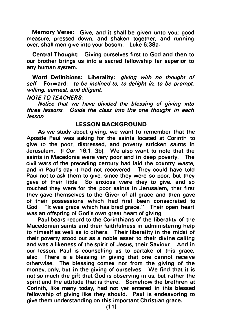Memory Verse: Give, and it shall be given unto you; good measure, pressed down, and shaken together, and running over, shall men give into your bosom. Luke 6:38a.

Central Thought: Giving ourselves first to God and then to our brother brings us into a sacred fellowship far superior to any human system.

Word Definitions: Liberality: giving with no thought of self. Forward: to be inclined to, to delight in, to be prompt. willing, earnest, and diligent.

**NOTE TO TEACHERS:** 

Notice that we have divided the blessing of giving into three lessons. Guide the class into the one thought in each lesson.

#### LESSON BACKGROUND

As we study about giving, we want to remember that the Apostle Paul was asking for the saints located at Corinth to give to the poor, distressed, and poverty stricken saints in Jerusalem. (I Cor. 16:1, 3b). We also want to note that the saints in Macedonia were very poor and in deep poverty. The civil wars of the preceding century had laid the country waste, and in Paul's day it had not recovered. They could have told Paul not to ask them to give, since they were so poor, but they gave of their little. So anxious were they to give, and so touched they were for the poor saints in Jerusalem, that first they gave themselves to the Giver of all grace and then gave of their possessions which had first been consecrated to God. "It was grace which has bred grace." Their open heart was an offspring of God's own great heart of giving.

Paul bears record to the Corinthians of the liberality of the Macedonian saints and their faithfulness in administering help to himself as well as to others. Their liberality in the midst of their poverty stood out as a noble asset to their divine calling and was a likeness of the spirit of Jesus, their Saviour. And in our lesson, Paul is counselling us to partake of this grace, also. There is a blessing in giving that one cannot receive otherwise. The blessing comes not from the giving of the money, only, but in the giving of ourselves. We find that it is not so much the gift that God is observing in us, but rather the spirit and the attitude that is there. Somehow the brethren at Corinth, like many today, had not yet entered in this blessed fellowship of giving like they should. Paul is endeavoring to give them understanding on this important Christian grace.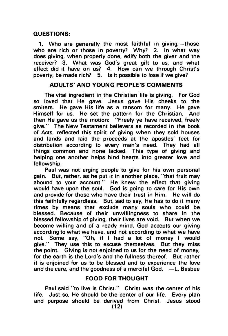# QUESTIONS:

1. Who are generally the most faithful in giving,—those who are rich or those in poverty? Why? 2. In what way does giving, when properly done, edify both the giver and the receiver? 3. What was God's great gift to us, and what effect did it have on us? 4. How can we through Christ's poverty, be made rich? 5. Is it possible to Jose if we give?

# ADULTS' AND YOUNG PEOPLE'S COMMENTS

The vital ingredient in the Christian life is giving. For God so loved that He gave. Jesus gave His cheeks to the smiters. He gave His life as a ransom for many. He gave Himself for us. He set the pattern for the Christian. And then He gave us the motion: "Freely ye have received, freely give." The New Testament believers as recorded in the book of Acts. reflected this soirit of giving when they sold houses and lands and laid the proceeds at the apostles' feet for distribution according to every man's need. They had all things common and none Jacked. This type of giving and helping one another helps bind hearts into greater Jove and fellowship. ·

Paul was not urging people to give for his own personal gain. But, rather, as he put it in another place, "that fruit may abound to your account." He knew the effect that giving would have upon the soul. God is going to care for His own and provide for those who have their trust in Him. He will do this faithfully regardless. But, sad to say, He has to do it many times by means that exclude many souls who could be blessed. Because of their unwillingness to share in the blessed fellowship of giving, their lives are void. But when we become willing and of a ready mind, God accepts our giving according to what we have, and not according to what we have not. Some say, "Oh, if I had a lot of money I would give." They use this to excuse themselves. But they miss the point. Giving is not enjoined to us for the need of money, for the earth is the Lord's and the fullness thereof. But rather it is enjoined for us to be blessed and to experience the love and the care, and the goodness of a merciful God.  $-L$ . Busbee

# FOOD FOR THOUGHT

Paul said "to live is Christ." Christ was the center of his life. Just so, He should be the center of our life. Every plan and purpose should be derived from Christ. Jesus stood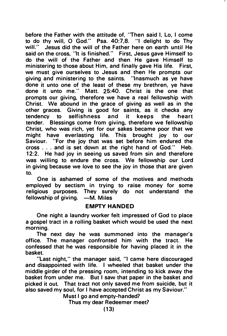before the Father with the attitude of. "Then said I. Lo. I come to do thy will, 0 God." Psa. 40:7,8. "I delight to do Thy will." Jesus did the will of the Father here on earth until He said on the cross, "It is finished." First, Jesus gave Himself to do the will of the Father and then He gave Himself to ministering to those about Him, and finally gave His life. First, we must give ourselves to Jesus and then He prompts our giving and ministering to the saints. "Inasmuch as ye have done it unto one of the least of these my brethren, ye have done it unto me." Matt. 25:40. Christ is the one that prompts our giving, therefore we have a real fellowship with Christ. We abound in the grace of giving as well as in the other graces. Giving is good for saints, as it checks any selfishness and tender. Blessings come from giving, therefore we fellowship Christ, who was rich, yet for our sakes became poor that we might have everlasting life. This brought joy to our Saviour. "For the joy that was set before him endured the cross ... and is set down at the right hand of God. " Heb. 12:2. He had joy in seeing us saved from sin and therefore was willing to endure the cross. We fellowship our Lord in giving because we love to see the joy in those that are given to.

One is ashamed of some of the motives and methods employed by sectism in trying to raise money for some religious purposes. They surely do not understand the fellowship of giving. - M. Miles

#### EMPTY HANDED

One night a laundry worker felt impressed of God to place a gospel tract in a rolling basket which would be used the next morning.

The next day he was summoned into the manager's office. The manager confronted him with the tract. He confessed that he was responsible for having placed it in the basket.

"Last night," the manager said, "I came here discouraged and disappointed with life. I wheeled that basket under the middle girder of the pressing room, intending to kick away the basket from under me. But I saw that paper in the basket and picked it out. That tract not only saved me from suicide, but it also saved my soul, for I have accepted Christ as my Saviour."

Must I go and empty-handed? Thus my dear Redeemer meet?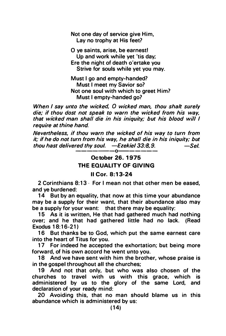Not one day of service give Him, Lay no trophy at His feet?

0 ye saints, arise, be earnest! Up and work while yet 'tis day; Ere the night of death o'ertake you Strive for souls while yet you may.

Must I go and empty-handed? Must I meet my Savior so? Not one soul with which to greet Him? Must I empty-handed go?

When I say unto the wicked, 0 wicked man, thou shalt surely die; if thou dost not speak to warn the wicked from his way, that wicked man shall die in his iniquity; but his blood will I require at thine hand.

Nevertheless, if thou warn the wicked of his way to turn from it; if he do not turn from his way, he shall die in his iniquity; but thou hast delivered thy soul.  $-$ Ezekiel 33:8,9.  $-$ Sel. ———————0———————

# October 26. 1 975 THE EQUALITY OF GIVING

# II Cor. 8: 1 3-24

2 Corinthians 8:13 · For I mean not that other men be eased, and ye burdened:

14 But by an equality, that now at this time your abundance may be a supply for their want, that their abundance also may be a supply for your want: that there may be equality:

15 As it is written. He that had gathered much had nothing over; and he that had gathered little had no lack. (Read Exodus 18:16-21)

16 But thanks be to God, which put the same earnest care into the heart of Titus for you.

17 For indeed he accepted the exhortation; but being more forward, of his own accord he went unto you.

18 And we have sent with him the brother, whose praise is in the gospel throughout all the churches;

19 And not that only. but who was also chosen of the churches to travel with us with this grace, which is administered by us to the glory of the same Lord, and declaration of your ready mind:

20 Avoiding this, that no man should blame us in this abundance which is administered by us: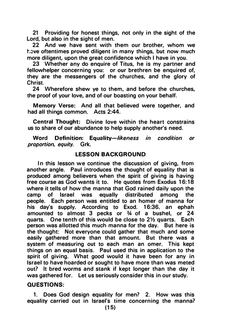21 Providing for honest things, not only in the sight of the Lord, but also in the sight of men.

22 And we have sent with them our brother, whom we have oftentimes proved diligent in many things, but now much more diligent, upon the great confidence which I have in you.

23 Whether any do enquire of Titus, he is my partner and fellowhelper concerning you: or our brethren be enquired of. they are the messengers of the churches, and the glory of Christ.

24 Wherefore shew ye to them, and before the churches, the proof of your love, and of our boasting on your behalf.

Memory Verse: And all that believed were together, and had all things common. Acts 2:44.

Central Thought: Divine love within the heart constrains us to share of our abundance to help supply another's need.

Word Definition: Equality-likeness in condition or proportion, equity. Grk.

# LESSON BACKGROUND

In this lesson we continue the discussion of giving, from another angle. Paul introduces the thought of equality that is produced among believers when the spirit of giving is having free course as God wants it to. He quotes from Exodus 1 6:18 where it tells of how the manna that God rained daily upon the camp of Israel was equally distributed among the people. Each person was entitled to an homer of manna for his day's supply. According to Exod. 16:36, an ephah amounted to almost 3 pecks or 3A of a bushel, or 24 quarts. One tenth of this would be close to 21/2 quarts. Each person was allotted this much manna for the day. But here is the thought: Not everyone could gather that much and some easily gathered more than that amount. But there was a system of measuring out to each man an omer. This kept things on an equal basis. Paul used this in application to the spirit of giving. What good would it have been for any in Israel to have hoarded or sought to have more than was meted out? It bred worms and stank if kept longer than the day it was gathered for. Let us seriously consider this in our study.

#### QUESTIONS:

1. Does God design equality for men? 2. How was this equality carried out in Israel's time concerning the manna?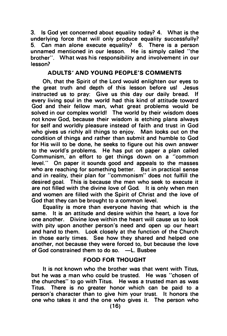3. Is God yet concerned about equality today? 4. What is the underlying force that will only produce equality successfully? 5. Can man alone execute equality? 6. There is a person unnamed mentioned in our lesson. He is simply called "the brother". What was his responsibility and involvement in our lesson?

# A DULTS' AND YOUNG PEOPLE'S COMMENTS

Oh, that the Spirit of the Lord would enlighten our eyes to the great truth and depth of this lesson before usl Jesus instructed us to pray: Give us this day our daily bread. If every living soul in the world had this kind of attitude toward God and their fellow man, what great problems would be solved in our complex world! The world by their wisdom does not know God, because their wisdom is etching plans always for self and worldly pleasure instead of faith and trust in God who gives us richly all things to enjoy. Man looks out on the condition of things and rather than submit and humble to God for His will to be done, he seeks to figure out his own answer to the world's problems. He has put on paper a plan called Communism, an effort to get things down on a "common level." On paper it sounds good and appeals to the masses who are reaching for something better. But in practical sense and in reality, their plan for "commonism" does not fulfill the desired goal. This is because the men who seek to execute it are not filled with the divine love of God. It is only when men and women are filled with the Spirit of Christ and the love of God that they can be brought to a common level.

Equality is more than everyone having that which is the same. It is an attitude and desire within the heart. a love for one another. Divine love within the heart will cause us to look with pity upon another person's need and open up our heart and hand to them. Look closely at the function of the Church in those early times. See how they shared and helped one another, not because they were forced to, but because the love of God constrained them to do so. -L. Busbee

# FOOD FOR THOUGHT

It is not known who the brother was that went with Titus, but he was a man who could be trusted. He was "chosen of the churches" to go with Titus. He was a trusted man as was Titus. There is no greater honor which can be paid to a person's character than to give him your trust. It honors the one who takes it and the one who gives it. The person who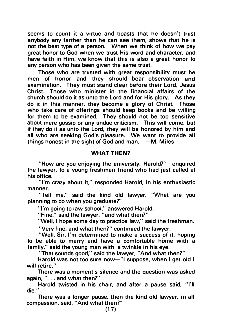seems to count it a virtue and boasts that he doesn't trust anybody any farther than he can see them, shows that he is not the best type of a person. When we think of how we pay great honor to God when we trust His word and character, and have faith in Him, we know that this is also a great honor to any person who has been given the same trust.

Those who are trusted with great responsibility must be men of honor and they should bear observation and examination. They must stand clear before their Lord, Jesus Christ. Those who minister in the financial affairs of the church should do it as unto the Lord and for His glory. As they do it in this manner, they become a glory of Christ. Those who take care of offerings should keep books and be willing for them to be examined. They should not be too sensitive about mere gossip or any undue criticism. This will come, but if they do it as unto the Lord, they will be honored by him and all who are seeking God's pleasure. We want to provide all things honest in the sight of God and man.  $-M$ . Miles

#### WHAT THEN?

"How are you enjoying the university, Harold?" enquired the lawyer, to a young freshman friend who had just called at his office.

''I'm crazy about it," responded Harold, in his enthusiastic manner.

"Tell me," said the kind old lawyer, "What are you planning to do when you graduate?"

''I'm going to law school," answered Harold.

"Fine," said the lawyer, "and what then?"

"Well, I hope some day to practice law," said the freshman.

"Very fine, and what then?" continued the lawyer.

"Well, Sir, I'm determined to make a success of it, hoping to be able to marry and have a comfortable home with a family," said the young man with a twinkle in his eye.

"That sounds good," said the lawyer, "And what then?"

Harold was not too sure now-''l suppose, when I get old I will retire."

There was a moment's silence and the question was asked again, ". . . and what then?"

Harold twisted in his chair, and after a pause said, "I'll die. "

There was a longer pause, then the kind old lawyer, in all compassion, said, "And what then?"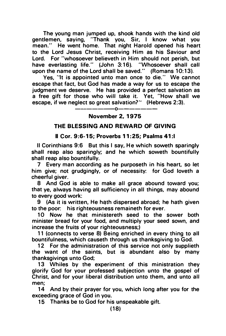The young man jumped up, shook hands with the kind old gentlemen, saying, "Thank you, Sir, I know what you mean." He went home. That night Harold opened his heart to the Lord Jesus Christ, receiving Him as his Saviour and Lord. For "whosoever believeth in Him should not perish, but have everlasting life." (John 3:16). "Whosoever shall call upon the name of the Lord shall be saved." (Romans 10:13).

Yes, "It is appointed unto man once to die." We cannot escape that fact, but God has made a way for us to escape the judgment we deserve. He has provided a perfect salvation as a free gift for those who will take it. Yet, "How shall we escape, if we neglect so great salvation?" (Hebrews 2:3).

-------0-------

### November 2, 1975

# THE BLESSING AND REWARD OF GIVING

#### II Cor. 9 :6-15; Proverbs 11 : 25; Psalms 41 :I

II Corinthians 9:6 But this I say, He which soweth sparingly shall reap also sparingly; and he which soweth bountifully shall reap also bountifully.

7 Every man according as he purposeth in his heart, so let him give; not grudgingly, or of necessity: for God loveth a cheerful giver.

8 And God is able to make all grace abound toward you; that ye, always having all sufficiency in all things, may abound to every good work:

9 (As it is written, He hath dispersed abroad; he hath given to the poor: his righteousness remaineth for ever.

10 Now he that ministereth seed to the sower both minister bread for your food, and multiply your seed sown, and increase the fruits of your righteousness;)

11 (connects to verse 8) Being enriched in every thing to all bountifulness, which causeth through us thanksgiving to God.

12 For the administration of this service not only supplieth the want of the saints, but is abundant also by many thanksgivings unto God;

13 Whiles by the experiment of this ministration they glorify God for your professed subjection unto the gospel of Christ, and for your liberal distribution unto them, and unto all men;

14 And by their prayer for you, which long after you for the exceeding grace of God in you.

15 Thanks be to God for his unspeakable gift.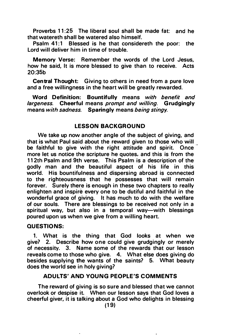Proverbs 11:25 The liberal soul shall be made fat: and he that watereth shall be watered also himself.

Psalm 41:1 Blessed is he that considereth the poor: the Lord will deliver him in time of trouble.

Memory Verse: Remember the words of the Lord Jesus, how he said, It is more blessed to give than to receive. Acts 20:35b

Central Thought: Giving to others in need from a pure love and a free willingness in the heart will be greatly rewarded.

Word Definition: Bountifully means with benefit and largeness. Cheerful means prompt and willing. Grudgingly means with sadness. Sparingly means being stingy.

# LESSON BACKGROUND

We take up now another angle of the subject of giving, and that is what Paul said about the reward given to those who will be faithful to give with the right attitude and spirit. Once more let us notice the scripture he quotes, and this is from the 112th Psalm and 9th verse. This Psalm is a description of the godly man and the beautiful aspect of his life in this world. His bountifulness and dispersing abroad is connected to the righteousness that he possesses that will remain forever. Surely there is enough in these two chapters to really enlighten and inspire every one to be dutiful and faithful in the wonderful grace of giving. It has much to do with the welfare of our souls. There are blessings to be received not only in a spiritual way, but also in a temporal way-with blessings poured upon us when we give from a willing heart.

# QUESTIONS:

1. What is the thing that God looks at when we give? 2. Describe how one could give grudgingly or merely of necessity. 3. Name some of the rewards that our lesson reveals come to those who give. 4. What else does giving do besides supplying the wants of the saints? 5. What beauty does the world see in holy giving?

# ADULTS' AND YOUNG PEOPLE'S COMMENTS

The reward of giving is so sure and blessed that we cannot overlook or despise it. When our lesson says that God loves a cheerful giver, it is talking about a God who delights in blessing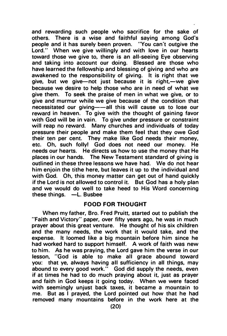and rewarding such people who sacrifice for the sake of others. There is a wise and faithful saying among God·s people and it has surely been proven. "You can't outgive the Lord." When we give willingly and with love in our hearts toward those we give to, there is an all-seeing Eye observing and taking into account our doing. Blessed are those who have learned the fellowship and blessing of giving and who are awakened to the responsibility of giving. It is right that we give, but we give-not just because it is right,-we give because we desire to help those who are in need of what we give them. To seek the praise of men in what we give, or to give and murmur while we give because of the condition that necessitated our giving--all this will cause us to lose our reward in heaven. To give with the thought of gaining favor with God will be in vain. To give under pressure or constraint will reap no reward. Many churches and individuals of today pressure their people and make them feel that they owe God their ten per cent. They make like God needs their money, etc. Oh, such folly! God does not need our money. He needs our hearts. He directs us how to use the money that He places in our hands. The New Testament standard of giving is outlined in these three lessons we have had. We do not hear him enjoin the tithe here, but leaves it up to the individual and with God. Oh, this money matter can get out of hand quickly if the Lord is not allowed to control it. But God has a holy plan and we would do well to take heed to His Word concerning these things.  $-L$ . Busbee

# FOOD FOR THOUGHT

When my father, Bro. Fred Pruitt, started out to publish the "Faith and Victory" paper, over fifty years ago, he was in much prayer about this great venture. He thought of his six children and the many needs, the work that it would take, and the expense. It loomed like a big mountain before him since he had worked hard to support himself. A work of faith was new to him. As he was praying, the Lord gave him the verse in our lesson, "God is able to make all grace abound toward you: that ye, always having all sufficiency in all things, may abound to every good work." God did supply the needs, even if at times he had to do much praying about it, just as prayer and faith in God keeps it going today. When we were faced with seemingly unjust back taxes, it became a mountain to me. But as I prayed, the Lord pointed out how that he had removed many mountains before in the work here at the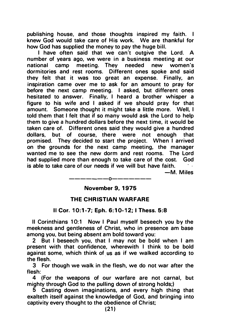publishing house, and those thoughts inspired my faith. I knew God would take care of His work. We are thankful for how God has supplied the money to pay the huge bill.

I have often said that we can't outgive the Lord. A number of years ago, we were in a business meeting at our national camp dormitories and rest rooms. Different ones spoke and said they felt that it was too great an expense. Finally, an inspiration came over me to ask for an amount to pray for before the next camp meeting. I asked, but different ones hesitated to answer. Finally, I heard a brother whisper a figure to his wife and I asked if we should pray for that amount. Someone thought it might take a little more. Well, I told them that I felt that if so many would ask the Lord to help them to give a hundred dollars before the next time, it would be taken care of. Different ones said they would give a hundred dollars, but of course, there were not enough that promised. They decided to start the project. When I arrived on the grounds for the next camp meeting, the manager wanted me to see the new dorm and rest rooms. The Lord had supplied more than enough to take care of the cost. God is able to take care of our needs if we will but have faith.

-M. Miles

-------0-------

# November 9, 1975

# THE CHRISTIAN WARFARE

# II Cor. 10:1-7; Eph. 6 :10-12; I Thess. 5:8

II Corinthians 10:1 Now I Paul myself beseech you by the meekness and gentleness of Christ, who in presence am base among you, but being absent am bold toward you:

2 But I beseech you, that I may not be bold when I am present with that confidence, wherewith I think to be bold against some, which think of us as if we walked according to the flesh.

3 For though we walk in the flesh, we do not war after the flesh:

4 (For the weapons of our warfare are not carnal, but mighty through God to the pulling down of strong holds;)

5 Casting down imaginations, and every high thing that exalteth itself against the knowledge of God, and bringing into captivity every thought to the obedience of Christ;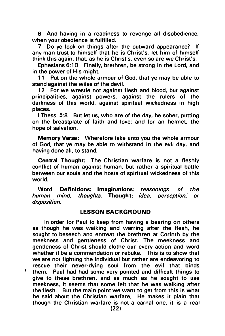6 And having in a readiness to revenge all disobedience, when your obedience is fulfilled.

7 Do ye look on things after the outward appearance? If any man trust to himself that he is Christ's, let him of himself think this again, that, as he is Christ's, even so are we Christ's.

Ephesians 6:10 Finally, brethren, be strong in the Lord, and in the power of His might.

11 Put on the whole armour of God, that ye may be able to stand against the wiles of the devil.

12 For we wrestle not against flesh and blood, but against principalities, against powers, against the rulers of the darkness of this world, against spiritual wickedness in high places.

I Thess; 5:8 But let us, who are of the day, be sober, putting on the breastplate of faith and love; and for an helmet, the hope of salvation.

Memory Verse: Wherefore take unto you the whole armour of God, that ye may be able to withstand in the evil day, and having done all, to stand.

Central Thought: The Christian warfare is not a fleshly conflict of human against human, but rather a spiritual battle between our souls and the hosts of spiritual wickedness of this world.

Word Definitions: Imaginations: reasonings of the human mind; thoughts. Thought; idea, perception, or disposition.

# **LESSON BACKGROUND**

In order for Paul to keep from having a bearing on others as though he was walking and warring after the flesh, he sought to beseech and entreat the brethren at Corinth by the meekness and gentleness of Christ. The meekness and gentleness of Christ should clothe our every action and word whether it be a commendation or rebuke. This is to show that we are not fighting the individual but rather are endeavoring to rescue their never-dying soul from the evil that binds them. Paul had had some very pointed and difficult things to give to these brethren, and as much as he sought to use meekness, it seems that some felt that he was walking after the flesh. But the main point we want to get from this is what he said about the Christian warfare. He makes it plain that though the Christian warfare is not a carnal one, it is a real

ŧ.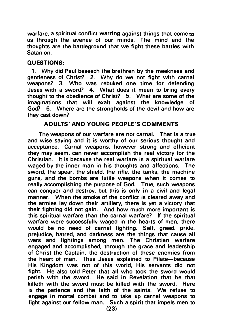warfare, a spiritual conflict warring against things that come to us through the avenue of our minds. The mind and the thoughts are the battleground that we fight these battles with Satan on.

# QUESTIONS:

1. Why did Paul beseech the brethren by the meekness and gentleness of Christ? 2. Why do we not fight with carnal weapons? 3. Who was rebuked one time for defending Jesus with a sword? 4. What does it mean to bring every thought to the obedience of Christ? 5. What are some of the imaginations that will exalt against the knowledge of God? 6. Where are the strongholds of the devil and how are they cast down?

# ADULTS' AND YOUNG PEOPLE'S COMMENTS

The weapons of our warfare are not carnal. That is a true and wise saying and it is worthy of our serious thought and acceptance. Carnal weapons, however strong and efficient they may seem, can never accomplish the real victory for the Christian. It is because the real warfare is a spiritual warfare waged by the inner man in his thoughts and affections. The sword, the spear, the shield, the rifle, the tanks, the machine guns, and the bombs are futile weapons when it comes to really accomplishing the purpose of God. True, such weapons can conquer and destroy, but this is only in a civil and legal manner. When the smoke of the conflict is cleared away and the armies lay down their artillery, there is yet a victory that their fighting did not gain. And how much more important is this spiritual warfare than the carnal warfare? If the spiritual warfare were successfully waged in the hearts of men, there would be no need of carnal fighting. Self, greed, pride, prejudice, hatred, and darkness are the things that cause all wars and fightings among men. The Christian warfare engaged and accomplished, through the grace and leadership of Christ the Captain, the destruction of these enemies from the heart of man. Thus Jesus explained to Pilate-because His Kingdom was not of this world, His servants did not fight. He also told Peter that all who took the sword would perish with the sword. He said in Revelation that he that killeth with the sword must be killed with the sword. Here is the patience and the faith of the saints. We refuse to engage in mortal combat and to take up carnal weapons to fight against our fellow man. Such a spirit that impels men to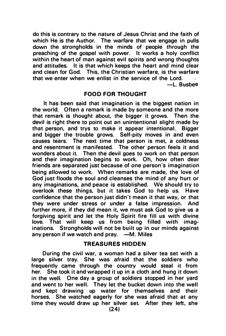do this is contrary to the nature of Jesus Christ and the faith of which He is the Author. The warfare that we engage in pulls down the strongholds in the minds of people through the preaching of the gospel with power. It works a holy conflict within the heart of man against evil spirits and wrong thoughts and attitudes. It is that which keeps the heart and mind clear and clean for God. This, the Christian warfare, is the warfare that we enter when we enlist in the service of the Lord.

-L. Busbee

# FOOD FOR THOUGHT

It has been said that imagination is the biggest nation in the world. Often a remark is made by someone and the more that remark is thought about, the bigger it grows. Then the devil is right there to point out an unintentional slight made by that person, and trys to make it appear intentional. Bigger and bigger the trouble grows. Self-pity moves in and even causes tears. The next time that person is met, a coldness and resentment is manifested. The other person feels it and wonders about it. Then the devil goes to work on that person and their imagination begins to work. Oh, how often dear friends are separated just because of one person's imagination being allowed to work. When remarks are made, the love of God just floods the soul and cleanses the mind of any hurt or any imaginations, and peace is established. We should try to overlook these thing's, but it takes God to help us. Have confidence that the person just didn't mean it that way, or that they were under stress or under a false impression. And further more, if they did mean it, we must ask God to give us a forgiving spirit and let the Holy Spirit fire fill us with divine love. That will keep us from being filled with imaginations. Strongholds will not be built up in our minds against any person if we watch and pray.  $-M$ . Miles

# **TREASURES HIDDEN**

During the civil war, a woman had a silver tea set with a large silver tray. She was afraid that the soldiers who frequently came through the country would steal it from her. She took it and wrapped it up in a cloth and hung it down in the well. One day a group of soldiers stopped in her yard and went to her well. They let the bucket down into the well and kept drawing up water for themselves and their horses. She watched eagerly for she was afraid that at any time they would draw up her silver set. After they left, she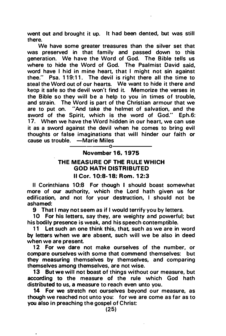went out and brought it up. It had been dented, but was still there.

We have some greater treasures than the silver set that was preserved in that family and passed down to this generation. We have the Word of God. The Bible tells us where to hide the Word of God. The Psalmist David said, word have I hid in mine heart, that I might not sin against thee."  $P$ sa. 119:11. The devil is right there all the time to steal the Word out of our hearts. We want to hide it there and keep it safe so the devil won't find it. Memorize the verses in the Bible so they will be a help to you in times of trouble, and strain. The Word is part of the Christian armour that we are to put on. "And take the helmet of salvation, and the sword of the Spirit, which is the word of God." Eph.6: 17. When we have the Word hidden in our heart, we can use it as a sword against the devil when he comes to bring evil thoughts or false imaginations that will hinder our faith or cause us trouble. ---Marie Miles ---0

# November 16, 1975

# THE MEASURE OF THE RULE WHICH GOD HATH DISTRIBUTED

# II Cor. 1 0:8-18; Rom. 1 2:3

II Corinthians 10:8 For though I should boast somewhat more of our authority, which the Lord hath given us for edification, and not for your destruction, I should not be ashamed:

9 That I may not seem as if I would terrify you by letters.

10 For his letters, say they, are weighty a nd powerful; but his bodily presence is weak, and his speech contemptible.

11 Let such an one think this, that such as we are in word by letters when we are absent, such will we be also in deed when we are present.

12 For we dare not make ourselves of the number, or compare ourselves w ith some that commend themselves: but they measuring themselves by themselves, and comparing themselves among themselves, are not wise.

13 But we will not boast of things without our measure, but according to the measure of the rule which God hath distributed to us, a measure to reach even unto you.

14 For we stretch not ourselves beyond our measure, as though we reached not unto you: for we are come as far as to you also in preaching the gospel of Christ: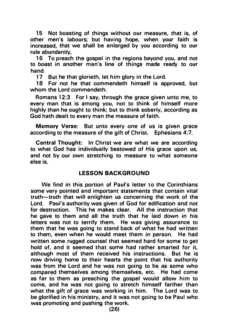15 Not boasting of things without our measure, that is, of other men's labours; but having hope, when your faith is increased, that we shall be enlarged by you according to our rule abundantly,

16 To preach the gospel in the regions beyond you, and not to boast in another man's line of things made ready to our hand.

17 But he that glorieth, let him glory in the Lord.

18 For not he that commendeth himself is approved, but whom the Lord commendeth.

Romans 12:3 For I say, through the grace given unto me, to every man that is among you, not to think of himself more highly than he ought to think; but to think soberly, according as God hath dealt to every man the measure of faith.

Memory Verse: But unto every one of us is given grace according to the measure of the gift of Christ. Ephesians 4:7.

Central Thought: In Christ we are what we are according to what God has individually bestowed of His grace upon us, and not by our own stretching to measure to what someone else is.

# LESSON BACKGROUND

We find in this portion of Paul's letter to the Corinthians some very pointed and important statements that contain vital truth-truth that will enlighten us concerning the work of the Lord. Paul's authority was given of God for edification and not for destruction. This he makes clear. All the instruction that he gave to them and all the truth that he laid down in his letters was not to terrify them. He was giving assurance to them that he was going to stand back of what he had written to them, even when he would meet them in person. He had written some rugged counsel that seemed hard for some to get hold of, and it seemed that some had rather smarted for it, although most of them received his instructions. But he is now driving home to their hearts the point that his authority was from the Lord and he was not going to be as some who compared themselves among themselves, etc. He had come as far to them as preaching the gospel would allow him to come, and he was not going to stretch himself farther than what the gift of grace was working in him. The Lord was to be glorified in his ministry, and it was not going to be Paul who was promoting and pushing the work.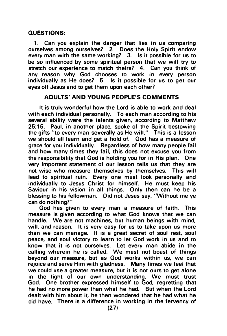# QUESTIONS:

1. Can you explain the danger that lies in us comparing ourselves among ourselves? 2. Does the Holy Spirit endow every man with the same working? 3. Is it possible for us to be so influenced by some spiritual person that we will try to stretch our experience to match theirs? 4. Can you think of any reason why God chooses to work in every person individually as He does? 5. Is it possible for us to get our eyes off Jesus and to get them upon each other?

# ADULTS' AND YOUNG PEOPLE'S COMMENTS

It is truly wonderful how the Lord is able to work and deal with each individual personally. To each man according to his several ability were the talents given, according to Matthew 25:15. Paul, in another place, spoke of the Spirit bestowing the gifts "to every man severally as He will." This is a lesson we should all learn and get a hold of. God has a measure of grace for you individually. Regardless of how many people fail and how many times they fail, this does not excuse you from the responsibility that God is holding you for in His plan. One very important statement of our lesson tells us that they are not wise who measure themselves by themselves. This will lead to spiritual ruin. Every one must look personally and individually to Jesus Christ for himself. He must keep his Saviour in his vision in all things. Only then can he be a blessing to his fellowman. Did not Jesus say, "Without me ye can do nothing?"

God has given to every man a measure of faith. This measure is given according to what God knows that we can handle. We are not machines, but human beings with mind, will, and reason. It is very easy for us to take upon us more than we can manage. It is a great secret of soul rest, soul peace, and soul victory to learn to let God work in us and to know that it is not ourselves. Let every man abide in the calling wherein he is called. We must not boast of things beyond our measure, but as God works within us, we can rejoice and serve Him with gladness. Many times we feel that we could use a greater measure, but it is not ours to get alone in the light of our own understanding. We must trust God. One brother expressed himself to God, regretting that he had no more power than what he had. But when the Lord dealt with him about it, he then wondered that he had what he did have. There is a difference in working in the fervency of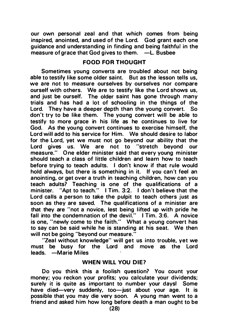our own personal zeal and that which comes from being inspired, anointed, and used of the Lord. God grant each one guidance and understanding in finding and being faithful in the measure of grace that God gives to them.  $-L$ . Busbee

# FOOD FOR THOUGHT

Sometimes young converts are troubled about not being able to testify like some older saint. But as the lesson tells us, we are not to measure ourselves by ourselves nor compare ourself with others. We are to testify like the Lord shows us, and just be ourself. The older saint has gone through many trials and has had a lot of schooling in the things of the Lord. They have a deeper depth than the young convert. So don't try to be like them. The young convert will be able to testify to more grace in his life as he continues to live for God. As the young convert continues to exercise himself, the Lord will add to his service for Him. We should desire to labor for the Lord, yet we must not go beyond our ability that the Lord gives us. We are not to "stretch beyond our measure." One elder minister said that every young minister should teach a class of little children and learn how to teach before trying to teach adults. I don't know if that rule would hold always, but there is something in it. If you can't feel an anointing, or get over a truth in teaching children, how can you teach adults? Teaching is one of the qualifications of a minister. "Apt to teach." I Tim. 3:2. I don't believe that the Lord calls a person to take the pulpit to teach others just as soon as they are saved. The qualifications of a minister are that they are "not a novice, lest being lifted up with pride he fall into the condemnation of the devil."  $\blacksquare$  I Tim. 3:6. A novice is one, "newly come to the faith." What a young convert has to say can be said while he is standing at his seat. We then will not be going "beyond our measure."

"Zeal without knowledge" will get us into trouble, yet we must be busy for the Lord and move as the Lord leads. - Marie Miles

#### WHEN WILL YOU DIE?

Do you think this a foolish question? You count your money; you reckon your profits; you calculate your dividends; surely it is quite as important to number your daysl Some have died-very suddenly, too-just about your age. It is possible that you may die very soon. A young man went to a friend and asked him how long before death a man ought to be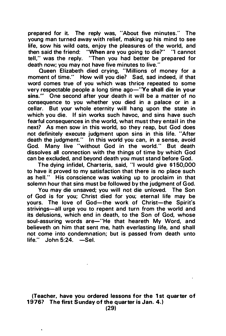prepared for it. The reply was, "About five minutes." The young man turned away with relief, making up his mind to see life, sow his wild oats, enjoy the pleasures of the world, and then said the friend: "When are you going to die?" "I cannot tell," was the reply. "Then you had better be prepared for death now; you may not have five minutes to live."

Queen Elizabeth died crying, "Millions of money for a moment of time." How will you die? Sad, sad indeed, if that word comes true of you which was thrice repeated to some very respectable people a long time ago-"Ye shall die in your sins." One second after your death it will be a matter of no consequence to you whether you died in a palace or in a cellar. But your whole eternity will hang upon the state in which you die. If sin works such havoc, and sins have such fearful consequences in the world, what must they entail in the next? As men sow in this world, so they reap, but God does not definitely execute judgment upon sins in this life. "After death the judgment." In this world you can, in a sense, avoid God. Many live "without God in the world." But death dissolves all connection with the things of time by which God can be excluded, and beyond death you must stand before God.

The dying infidel, Charteris, said, "I would give \$ 1 50,000 to have it proved to my satisfaction that there is no place such as hell." His conscience was waking up to proclaim in that solemn hour that sins must be followed by the judgment of God.

You may die unsaved; you will not die unloved. The Son of God is for you; Christ died for you; eternal life may be yours. The love of God-the work of Christ-the Spirit's strivings-all urge you to repent and turn from the world and its delusions, which end in death, to the Son of God, whose soul-assuring words are-''He that heareth My Word, and believeth on him that sent me, hath everlasting life, and shall not come into condemnation; but is passed from death unto  $life.$ " John 5:24.  $-$ Sel.

(Teacher, have you ordered lessons for the 1 st quarter of 1976? The first Sunday of the quarter is Jan. 4.)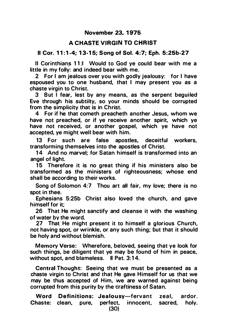# A CHASTE VIRGIN TO CHRIST

# Il Cor. 11:1-4; 13-15; Song of Sol. 4:7; Eph. 5:25b-27

II Corinthians 11:I Would to God ye could bear with me a little in my folly: and indeed bear with me.

2 For I am jealous over you with godly jealousy: for I have espoused you to one husband, that I may present you as a chaste virgin to Christ.

3 But I fear, lest by any means, as the serpent beguiled Eve through his subtilty, so your minds should be corrupted from the simplicity that is in Christ.

4 For if he that cometh preacheth another Jesus, whom we have not preached, or if ye receive another spirit, which ye have not received, or another gospel, which ye have not accepted, ye might well bear with him.

13 For such are false apostles, deceitful workers, transforming themselves into the apostles of Christ.

14 And no marvel: for Satan himself is transformed into an angel of light.

15 Therefore it is no great thing if his ministers also be transformed as the ministers of righteousness; whose end shall be according to their works.

Song of Solomon 4:7 Thou art all fair, my love; there is no spot in thee.

Ephesians 5:25b Christ also loved the church, and gave himself for it;

26 That He might sanctify and cleanse it with the washing of water by the word.

27 That He might present it to himself a glorious Church. not having spot, or wrinkle, or any such thing; but that it should be holy and without blemish.

Memory Verse: Wherefore, beloved, �eeing that ye look for such things, be diligent that ye may be found of him in peace, without spot, and blameless. Il Pet. 3:14.

Central Thought: Seeing that we must be presented as a chaste virgin to Christ and that He gave Himself for us that we may be thus accepted of Him, we are warned against being corrupted from this purity by the craftiness of Satan.

Word Definitions: Jealousy-fervant zeal, ardor. Chaste: clean, pure, perfect, innocent, sacred, holy.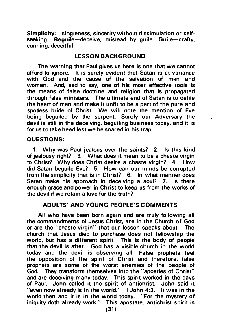Simplicity: singleness. sincerity without dissimulation or selfseeking. Bequile-deceive: mislead by quile. Guile-crafty, cunning, deceitful.

# LESSON BACKGROUND

The warning that Paul gives us here is one that we cannot afford to ignore. It is surely evident that Satan is at variance with God and the cause of the salvation of men and women. And, sad to say, one of his most effective tools is the means of false doctrine and religion that is propagated through false ministers. The ultimate end of Satan is to defile the heart of man and make it unfit to be a part of the pure and spotless bride of Christ. We will note the mention of Eve being bequiled by the serpent. Surely our Adversary the devil is still in the deceiving, beguiling business today, and it is for us to take heed lest we be snared in his trap.

#### QUESTIONS:

1. Why was Paul jealous over the saints? 2. Is this kind of jealousy right? 3. What does it mean to be a chaste virgin to Christ? Why does Christ desire a chaste virgin? 4. How did Satan beguile Eve? 5. How can our minds be corrupted from the simplicity that is in Christ? 6. In what manner does Satan make his approach in deceiving a soul? 7. Is there enough grace and power in Christ to keep us from the works of the devil if we retain a love for the truth?

# ADULTS' AND YOUNG PEOPLE'S COMMENTS

All who have been born again and are truly following all the commandments of Jesus Christ, are in the Church of God or are the "chaste virgin" that our lesson speaks about. The church that Jesus died to purchase does not fellowship the world, but has a different spirit. This is the body of people that the devil is after. God has a visible church in the world today and the devil is observing all. False prophets feel the opposition of the spirit of Christ and therefore, false prophets are some of the worst enemies of the people of God. They transform themselves into the "apostles of Christ" and are deceiving many today. This spirit worked in the days of Paul. John called it the spirit of antichrist. John said it "even now already is in the world. " I John 4:3. It was in the world then and it is in the world today. "For the mystery of iniquity doth already work." This apostate, antichrist spirit is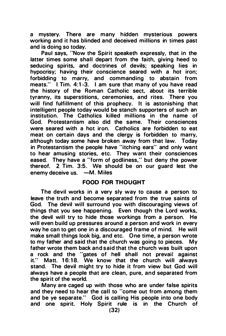a mystery. There are many hidden mysterious powers working and it has blinded and deceived millions in times past and is doing so today.

Paul says, "Now the Spirit speaketh expressly, that in the latter times some shall depart from the faith, giving heed to seducing spirits, and doctrines of devils; speaking lies in hypocrisy; having their conscience seared with a hot iron; forbidding to marry, and commanding to abstain from meats." I Tim. 4:1 -3. I am sure that many of you have read the history of the Roman Catholic sect, about its terrible tyranny, its superstitions, ceremonies, and rites. There you will find fulfillment of this prophecy. It is astonishing that intelligent people today would be stanch supporters of such an institution. The Catholics killed millions in the name of God. Protestantism also did the same. Their consciences were seared with a hot iron. Catholics are forbidden to eat meat on certain days and the clergy is forbidden to marry, although today some have broken away from that law. Today in Protestantism the people have "itching ears" and only want to hear amusing stories, etc. They want their consciences eased. They have a "form of godliness," but deny the power thereof. 2 Tim. 3:5. We should be on our guard lest the enemy deceive us. - M. Miles

# FOOD FOR THOUGHT

The devil works in a very sly way to cause a person to leave the truth and become separated from the true saints of God. The devil will surround you with discouraging views of things that you see happening. Even though the Lord works, the devil will try to hide those workings from a person. He will even build up pressures around a person and work in every way he can to get one in a discouraged frame of mind. He will make small things look big, and etc. One time, a person wrote to my father and said that the church was going to pieces. My father wrote them back and said that the church was built upon a rock and the "gates of hell shall not prevail against it." Matt. 16:18. We know that the church will always stand. The devil might try to hide it from view but God will always have a people that are clean, pure, and separated from the spirit of the world.

Many are caged up with those who are under false spirits and they need to hear the call to "come out from among them and be ye separate." God is calling His people into one body and one spirit. Holy Spirit rule is in the Church of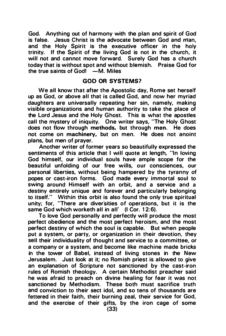God. Anything out of harmony with the plan and spirit of God is false. Jesus Christ is the advocate between God and man, and the Holy Spirit is the executive officer in the holy trinity. If the Spirit of the living God is not in the church, it will not and cannot move forward. Surely God has a church today that is without spot and without blemish. Praise God for the true saints of  $God$   $-M$ . Miles

#### GOD OR SYSTEMS?

We all know that after the Apostolic day, Rome set herself up as God, or above all that is called God, and now her myriad daughters are universally repeating her sin, namely, making visible organizations and human authority to take the place of the Lord Jesus and the Holy Ghost. This is what the apostles call the mystery of iniquity. One writer says, "The Holy Ghost does not flow through methods, but through men. He does not come on machinery, but on men. He does not anoint plans, but men of prayer.

Another writer of former years so beautifully expressed the sentiments of this article that I will quote at length. "In loving God himself, our individual souls have ample scope for the beautiful unfolding of our free wills, our consciences, our personal liberties, without being hampered by the tyranny of popes or cast-iron forms. God made every immortal soul to swing around Himself with an orbit, and a service and a destiny entirely unique and forever and particularly belonging to itself." Within this orbit is also found the only true spiritual unity; for, "There are diversities of operations, but it is the same God which worketh all in all' (I Cor. 12:6).

To love God personally and perfectly will produce the most perfect obedience and the most perfect heroism, and the most perfect destiny of which the soul is capable. But when people put a system, or party, or organization in their devotion, they sell their individuality of thought and service to a committee, or a company or a system, and become like machine made bricks in the tower of Babel, instead of living stones in the New Jerusalem. Just look at it; no Romish priest is allowed to give an explanation of Scripture not sanctioned by the cast-iron rules of Romish theology. A certain Methodist preacher said he was afraid to preach on divine healing for fear it was not sanctioned by Methodism. These both must sacrifice truth and conviction to their sect idol, and so tens of thousands are fettered in their faith, their burning zeal, their service for God, and the exercise of their gifts, by the iron cage of some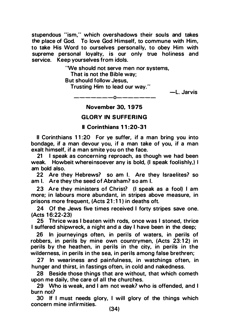stupendous "ism," which overshadows their souls and takes the place of God. To love God Himself, to commune with Him, to take His Word to ourselves personally, to obey Him with supreme personal loyalty, is our only true holiness and service. Keep yourselves from idols.

'We should not serve men nor systems,

That is not the Bible way;

But should follow Jesus,

Trusting Him to lead our way."

-L. Jarvis

-------0------- November 30, 1 975

# **GLORY IN SUFFERING**

# II Corinthians 1 1 :20-31

II Corinthians 11:20 For ye suffer, if a man bring you into bondage, if a man devour you, if a man take of you, if a man exalt himself, if a man smite you on the face.

21 I speak as concerning reproach, as though we had been weak. Howbeit whereinsoever any is bold, (I speak foolishly.) I am bold also.

22 Are they Hebrews? so am I. Are they Israelites? so am I. Are they the seed of Abraham? so am I.

23 Are they ministers of Christ? (I speak as a fool) I am more; in labours more abundant, in stripes above measure, in prisons more frequent, (Acts 21:11) in deaths oft.

24 Of the Jews five times received I forty stripes save one. (Acts 1 6:22-23)

25 Thrice was I beaten with rods, once was I stoned, thrice I suffered shipwreck, a night and a day I have been in the deep;

26 In journeyings often, in perils of waters, in perils of robbers, in perils by mine own countrymen, (Acts 23:12) in perils by the heathen, in perils in the city, in perils in the wilderness, in perils in the sea, in perils among false brethren;

27 In weariness and painfulness, in watchings often, in hunger and thirst, in fastings often, in cold and nakedness.

28 Beside those things that are without, that which cometh upon me daily, the care of all the churches.

29 Who is weak, and I am not weak? who is offended, and I burn not?

30 If I must needs glory, I will glory of the things which concern mine infirmities.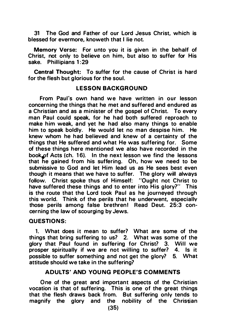31 The God and Father of our Lord Jesus Christ, which is blessed for evermore, knoweth that I lie not.

Memory Verse: For unto you it is given in the behalf of Christ, not only to believe on him, but also to suffer for His sake. Phillipians 1:29

Central Thought: To suffer for the cause of Christ is hard for the flesh but glorious for the soul.

#### LESSON BACKGROUND

From Paul's own hand we have written in our lesson concerning the things that he met and suffered and endured as a Christian and as a minister of the gospel of Christ. To every man Paul could speak, for he had both suffered reproach to make him weak, and yet he had also many things to enable him to speak boldly. He would let no man despise him. He knew whom he had believed and knew of a certainty of the things that He suffered and what He was suffering for. Some of these things here mentioned we also have recorded in the book of Acts (ch. 16). In the next lesson we find the lessons that he gained from his suffering. Oh, how we need to be submissive to God and let Him lead us as He sees best even though it means that we have to suffer. The glory will always follow. Christ spoke thus of Himself: "Ought not Christ to have suffered these things and to enter into His glory?" This is the route that the Lord took Paul as he journeyed through this world. Think of the perils that he underwent, especially those perils among false brethren! Read Deut. 25:3 concerning the law of scourging by Jews.

# QUESTIONS:

1. What does it mean to suffer? What are some of the things that bring suffering to us? 2. What was some of the glory that Paul found in suffering for Christ? 3. Will we prosper spiritually if we are not willing to suffer? 4. Is it possible to suffer something and not get the glory? 5. What attitude should we take in the suffering?

# ADULTS' AND YOUNG PEOPLE'S COMMENTS

One of the great and important aspects of the Christian vocation is that of suffering. This is one of the great things that the flesh draws back from. But suffering only tends to magnify the glory and the nobility of the Christian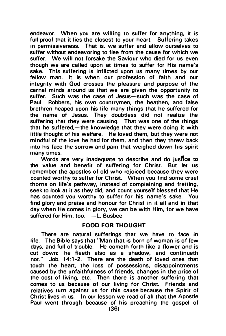endeavor. When you are willing to suffer for anything, it is full proof that it lies the closest to your heart. Suffering takes in permissiveness. That is, we suffer and allow ourselves to suffer without endeavoring to flee from the cause for which we suffer. We will not forsake the Saviour who died for us even though we are called upon at times to suffer for His name's sake. This suffering is inflicted upon us many times by our fellow man. It is when our profession of faith and our integrity with God crosses the pleasure and purpose of the carnal minds around us that we are given the opportunity to suffer. Such was the case of Jesus-such was the case of Paul. Robbers, his own countrymen, the heathen, and false brethren heaped upon his life many things that he suffered for the name of Jesus. They doubtless did not realize the sufferinq that they were causinq. That was one of the things that he suffered,—the knowledge that they were doing it with little thought of his welfare. He loved them, but they were not mindful of the love he had for them, and then they threw back into his face the sorrow and pain that weighed down his spirit many times.

Words are very inadequate to describe and do jusflce to the value and benefit of suffering for Christ. But let us remember the apostles of old who rejoiced because they were counted worthy to suffer for Christ. When you find some cruel thorns on life's pathway, instead of complaining and fretting, seek to look at it as they did, and count yourself blessed that He has counted you worthy to suffer for his name's sake. You find glory and praise and honour for Christ in it all and in that day when He comes in glory, we can be with Him, for we have suffered for Him, too. -L. Busbee

#### FOOD FOR THOUGHT

There are natural sufferings that we have to face in life. The Bible says that "Man that is born of woman is of few days, and full of trouble. He cometh forth like a flower and is cut down: he fleeth also as a shadow, and continueth not." Job. 14:1-2. There are the death of loved ones that touch the heart, the loss of possessions, disappointments caused by the unfaithfulness of friends, changes in the price of the cost of living, etc. Then there is another suffering that comes to us because of our living for Christ. Friends and relatives turn against us for this cause because the Spirit of Christ lives in us. In our lesson we read of all that the Apostle Paul went through because of his preaching the gospel of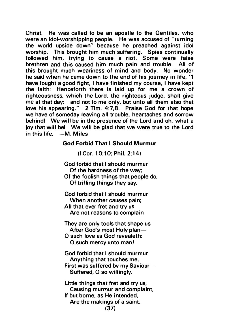Christ. He was called to be an apostle to the Gentiles, who were an idol-worshipping people. He was accused of "turning the world upside down" because he preached against idol worship. This brought him much suffering. Spies continually followed him, trying to cause a riot. Some were false brethren and this caused him much pain and trouble. All of this brought much weariness of mind and body. No wonder he said when he came down to the end of his journey in fife, "I have fought a good fight, I have finished my course, I have kept the faith: Henceforth there is laid up for me a crown of righteousness, which the Lord, the righteous judge, shall give me at that day: and not to me only, but unto all them also that love his appearing." 2 Tim. 4:7,8. Praise God for that hope we have of someday leaving all trouble, heartaches and sorrow behind! We will be in the presence of the Lord and oh, what a joy that will bel We will be glad that we were true to the Lord  $in this$  life.  $-M$ . Miles

# God Forbid That I Should Murmur

(I Cor. 10:10: Phil. 2:14)

God forbid that I should murmur Of the hardness of the way; Of the foolish things that people do, Of trifling things they say.

God forbid that I should murmur When another causes pain: All that ever fret and try us Are not reasons to complain

They are only tools that shape us After God's most Holy plan-

O such love as God revealeth: 0 such mercy unto man!

God forbid that I should murmur Anything that touches me, First was suffered by my Saviour-Suffered, O so willingly.

Little things that fret and try us. Causing murmur and complaint, If but borne, as He intended, Are the makings of a saint. (37)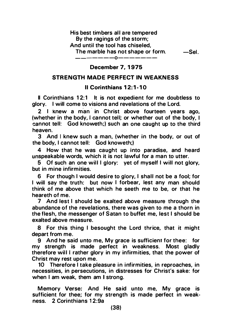#### His best timbers all are tempered By the ragings of the storm; And until the tool has chiseled, The marble has not shape or form. - ------0-------  $-Se$ l ...

December 7, 1975

#### STRENGTH MADE PERFECT IN WEAKNESS

# II Corinthians 12:1-10

II Corinthians 12:1 It is not expedient for me doubtless to glory. I will come to visions and revelations of the Lord.

2 I knew a man in Christ above fourteen vears ago, (whether in the body, I cannot tell; or whether out of the body. I cannot tell: God knoweth;) such an one caught up to the third heaven.

3 And I knew such a man, (whether in the body, or out of the body, I cannot tell: God knoweth;)

4 How that he was caught up into paradise, and heard unspeakable words, which it is not lawful for a man to utter.

5 Of such an one will I glory: yet of myself I will not glory, but in mine infirmities.

6 For though I would desire to glory, I shall not be a fool; for I will say the truth: but now I forbear, lest any man should think of me above that which he seeth me to be, or that he heareth of me.

7 And lest I should be exalted above measure through the abundance of the revelations, there was given to me a thorn in the flesh, the messenger of Satan to buffet me, lest I should be exalted above measure.

8 For this thing I besought the Lord thrice, that it might depart from me.

9 And he said u nto me, My grace is sufficient for thee: for my strength is made perfect in weakness. Most gladly therefore will I rather glory in my infirmities, that the power of Christ may rest upon me.

10 Therefore I take pleasure in infirmities, in reproaches, in necessities, in persecutions, in distresses for Christ's sake: for when I am weak, them am I strong.

Memory Verse: And He said unto me. My grace is sufficient for thee; for my strength is made perfect in weakness. 2 Corinthians 12:9a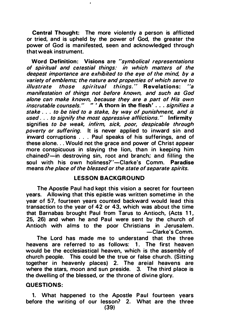Central Thought: The more violently a person is afflicted or tried, and is upheld by the power of God, the greater the power of God is manifested, seen and acknowledged through that weak instrument.

Word Definition: Visions are "symbolical representations of spiritual and celestial things: in which matters of the deepest importance are exhibited to the eye of the mind, by a variety of emblems; the nature and properties of which serve to illustrate those spiritual things." Revelations: "a manifestation of things not before known, and such as God alone can make known, because they are a part of His own inscrutable counsels." " ' A thorn in the flesh' . . . signifies a stake ... to be tied to a stake, by way of punishment, and is used . . . to signify the most oppressive afflictions." Infirmity signifies to be weak, infirm, sick, poor, despicable through poverty or suffering. It is never applied to inward sin and inward corruptions . . . Paul speaks of his sufferings, and of these alone... Would not the grace and power of Christ appear more conspicuous in slaying the lion, than in keeping him chained?-in destroving sin, root and branch; and filling the soul with his own holiness?"-Clarke's Comm. Paradise means the place of the blessed or the state of separate spirits.

# LESSON BACKGROUND

The Apostle Paul had kept this vision a secret for fourteen years. Allowing that this epistle was written sometime in the year of 57, fourteen years counted backward would lead this transaction to the year of 42 or 43, which was about the time that Barnabas brought Paul from Tarus to Antioch, (Acts 11, 25, 26) and when he and Paul were sent by the church of Antioch with alms to the poor Christians in Jerusalem. -Clarke's Comm.

The Lord has made me to understand that the three heavens are referred to as follows: 1. The first heaven would be the ecclesiastical heaven, which is the assembly of church people. This could be the true or false church. (Sitting together in heavenly places) 2. The areial heavens are where the stars, moon and sun preside. 3. The third place is the dwelling of the blessed, or the throne of divine glory.

#### QUESTIONS:

1. What happened to the Apostle Paul fourteen years before the writing of our lesson? 2. What are the three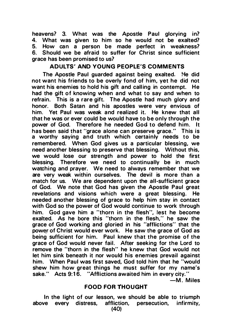heavens? 3. What was the Apostle Paul glorying in?<br>4. What was given to him so he would not be exalted? 4. What was given to him so he would not be exalted?<br>5. How can a person be made perfect in weakness? 5. How can a person be made perfect in weakness?<br>6. Should we be afraid to suffer for Christ since sufficient Should we be afraid to suffer for Christ since sufficient grace has been promised to us?

# ADULTS' AND YOUNG PEOPLE'S COMMENTS

The Apostle Paul guarded against being exalted. He did not want his friends to be overly fond of him, yet he did not want his enemies to hold his gift and calling in contempt. He had the gift of knowing when and what to say and when to refrain. This is a rare gift. The Apostle had much glory and honor. Both Satan and his apostles were very envious of Both Satan and his apostles were very envious of him. Yet Paul was weak and realized it. He knew that all that he was or ever could be would have to be only through the power of God. Therefore he needed God to defend him. It has been said that "grace alone can preserve grace." This is a worthy saying and truth which certainly needs to be remembered. When God gives us a particular blessing, we need another blessing to preserve that blessing. Without this. we would lose our strength and power to hold the first blessing. Therefore we need to continually be in much watching and prayer. We need to always remember that we are very weak within ourselves. The devil is more than a match for us. We are dependent upon the all-sufficient grace of God. We note that God has given the Apostle Paul great revelations and visions which were a great blessing. He needed another blessing of grace to help him stay in contact with God so the power of God would continue to work through him. God gave him a "thorn in the flesh", lest he become exalted. As he bore this "thorn in the flesh," he saw the grace of God working and gloried in his "afflictions" that the power of Christ would ever work. He saw the grace of God as being sufficient for him. Paul knew that the promise of the grace of God would never fail. After seeking for the Lord to remove the "thorn in the flesh" he knew that God would not let him sink beneath it nor would his enemies prevail against him. When Paul was first saved, God told him that he "would shew him how great things he must suffer for my name's sake." Acts 9:16. "Afflictions awaited him in every city."

 $-M.$  Miles

# **FOOD FOR THOUGHT**

In the light of our lesson, we should be able to triumph above every distress, affliction, persecution. infirmity. affliction, persecution, infirmity,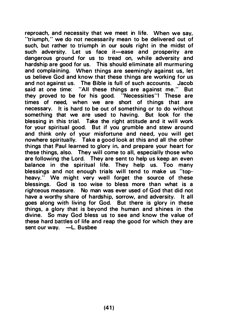reproach, and necessity that we meet in life. When we say, "triumph." we do not necessarily mean to be delivered out of such, but rather to triumph in our souls right in the midst of such adversity. Let us face it-ease and prosperity are dangerous ground for us to tread on, while adversity and hardship are good for us. This should eliminate all murmuring and complaining. When things are seemingly against us, let us believe God and know that these things are working for us and not against us. The Bible is full of such accounts. Jacob said at one time: "All these things are against me." But they proved to be for his good. "Necessities"! These are times of need, when we are short of things that are necessary. It is hard to be out of something or to do without something that we are used to having. But look for the blessing in this trial. Take the right attitude and it will work for your spiritual good. But if you grumble and stew around and think only of your misfortune and need, you will get nowhere spiritually. Take a good look at this and all the other things that Paul learned to glory in, and prepare your heart for these things, also. They will come to all, especially those who are following the Lord. They are sent to help us keep an even balance in the spiritual life. They help us. Too many blessings and not enough trials will tend to make us "topheavy." We might very well forget the source of these blessings. God is too wise to bless more than what is a righteous measure. No man was ever used of God that did not have a worthy share of hardship, sorrow, and adversity. It all goes along with living for God. But there is glory in these things, a glory that is beyond the human and shines in the divine. So may God bless us to see and know the value of these hard battles of life and reap the good for which they are sent our way. -L. Busbee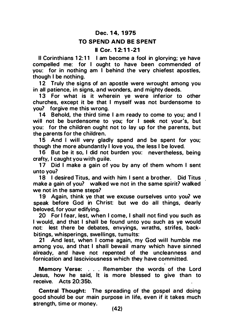# Dec. 14, 1975

#### TO SPEND AND BE SPENT

# II Cor. 1 2: 11-21

II Corinthians 12:11 I am become a fool in glorving: ye have compelled me: for I ought to have been commended of you: for in nothing am I behind the very chiefest apostles, though I be nothing.

12 Truly the signs of an apostle were wrought among you in all patience, in signs, and wonders, and mighty deeds.

13 For what is it wherein ye were inferior to other churches, except it be that I myself was not burdensome to you? forgive me this wrong.

14 Behold, the third time I am ready to come to you; and I will not be burdensome to you; for I seek not your's, but you: for the children ought not to lay up for the parents, but the parents for the children.

15 And I will very gladly spend and be spent for you; though the more abundantly I love you, the less I be loved.

16 But be it so, I did not burden you: nevertheless, being crafty, I caught you with guile.

17 Did I make a gain of you by any of them whom I sent unto you?

18 I desired Titus, and with him I sent a brother. Did Titus make a gain of you? walked we not in the same spirit? walked we not in the same steps?

19 Again, think ye that we excuse ourselves unto you? we speak before God in Christ: but we do all things, dearly beloved, for your edifying.

20 For I fear, lest, when I come, I shall not find you such as I would, and that I shall be found unto you such as ye would not: lest there be debates, envyings, wraths, strifes, backbitings, whisperings, swellings, tumults:

21 And lest, when I come again, my God will humble me among you, and that I shall bewail many which have sinned already, and have not repented of the uncleanness and fornication and lasciviousness which they have committed.

Memory Verse: . . . Remember the words of the Lord Jesus, how he said, It is more blessed to give than to receive. Acts 20:35b.

Central Thought: The spreading of the gospel and doing good should be our main purpose in life, even if it takes much strength, time or money.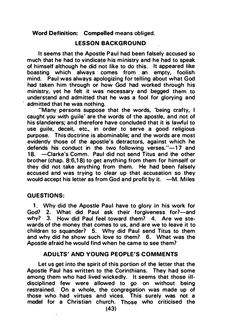Word Definition: Compelled means obliged.

# LESSON BACKGROUND

It seems that the Apostle Paul had been falsely accused so much that he had to vindicate his ministry and he had to speak of himself although he did not like to do this. It appeared like boasting which always comes from an empty, foolish mind. Paul was always apologizing for telling about what God had taken him through or how God had worked through his ministry, yet he felt it was necessary and begged them to understand and admitted that he was a fool for glorying and admitted that he was nothing.

"Many persons suppose that the words, 'being crafty, I caught you with guile' are the words of the apostle, and not of his slanderers; and therefore have concluded that it is lawful to use guile, deceit, etc., in order to serve a good religious purpose. This doctrine is abominable; and the words are most evidently those of the apostle's detractors, against which he defends his conduct in the two following verses.  $-17$  and 18. -Clarke's Comm. Paul did not send Titus and the other brother (chap. 8:6,18) to get anything from them for himself or they did not take anything from them. He had been falsely accused and was trying to clear up that accusation so they would accept his letter as from God and profit by it.  $-M$ . Miles

# QUESTIONS:

1. Why did the Apostle Paul have to glory in his work for God? 2. What did Paul ask their forgiveness for?-and why? 3. How did Paul feel toward them? 4. Are we stewards of the money that comes to us, and are we to leave it to children to squander? 5. Why did Paul send Titus to them and why did he show such love to them? 6. What was the Apostle afraid he would find when he came to see them?

# ADULTS' AND YOUNG PEOPLE'S COMMENTS

Let us get into the spirit of this portion of the letter that the Apostle Paul has written to the Corinthians. They had some among them who had lived wickedly. It seems that those illdisciplined few were allowed to go on without being restrained. On a whole, the congregation was made up of those who had virtues and vices. This surely was not a model for a Christian church. Those who criticised the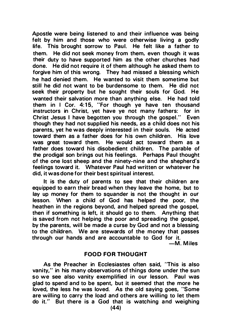Apostle were being listened to and their influence was being felt by him and those who were otherwise living a godly life. This brought sorrow to Paul. He felt like a father to them. He did not seek money from them. even though it was their duty to have supported him as the other churches had done. He did not require it of them although he asked them to forgive him of this wrong. They had missed a blessing which he had denied them. He wanted to visit them sometime but still he did not want to be burdensome to them. He did not seek their property but he sought their souls for God. He wanted their salvation more than anything else. He had told them in I Cor. 4:15, "For though ye have ten thousand instructors in Christ. yet have ye not many fathers: for in Christ Jesus I have begotten you through the gospel." Even though they had not supplied his needs, as a child does not his parents, yet he was deeply interested in their souls. He acted toward them as a father does for his own children. His love was great toward them. He would act toward them as a father does toward his disobedient children. The parable of the prodigal son brings out his feelings. Perhaps Paul thought of the one lost sheep and the ninety-nine and the shepherd's feelings toward it. Whatever Paul had written or whatever he did, it was done for their best spiritual interest.

It is the duty of parents to see that their children are equipped to earn their bread when they leave the home, but to lay up money for them to squander is not the thought in our lesson. When a child of God has helped the poor, the heathen in the regions beyond, and helped spread the gospel, then if something is left, it should go to them. Anything that is saved from not helping the poor and spreading the gospel, by the parents, will be made a curse by God and not a blessing to the children. We are stewards of the money that passes through our hands and are accountable to God for it.

-M. Miles

# FOOD FOR THOUGHT

As the Preacher in Ecclesiastes often said, "This is also vanity," in his many observations of things done under the sun so we see also vanity exemplified in our lesson. Paul was glad to spend and to be spent, but it seemed that the more he loved, the less he was loved. As the old saying goes, "Some are willing to carry the load and others are willing to let them do it." But there is a God that is watching and weighing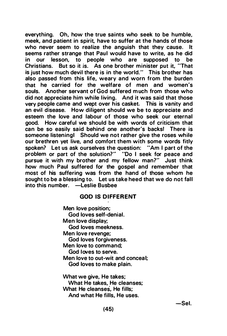everything. Oh, how the true saints who seek to be humble, meek, and patient in spirit, have to suffer at the hands of those who never seem to realize the anguish that they cause. It seems rather strange that Paul would have to write, as he did in our lesson, to people who are supposed to be Christians. But so it is. As one brother minister put it, "That is just how much devil there is in the world." This brother has also passed from this life, weary and worn from the burden that he carried for the welfare of men and women's souls. Another servant of God suffered much from those who did not appreciate him while living. And it was said that those very people came and wept over his casket. This is vanity and an evil disease. How diligent should we be to appreciate and esteem the love and labour of those who seek our eternal good. How careful we should be with words of criticism that can be so easily said behind one another's backs! There is someone listeningl Should we not rather give the roses while our brethren yet live, and comfort them with some words fitly spoken? Let us ask ourselves the question: "Am I part of the problem or part of the solution?" "Do I seek for peace and pursue it with my brother and my fellow man?" Just think how much Paul suffered for the gospel and remember that most of his suffering was from the hand of those whom he sought to be a blessing to. Let us take heed that we do not fall into this number. -Leslie Busbee

#### GOD IS DIFFERENT

Men love position; God loves self-denial. Men love display; God loves meekness. Men love revenge; God loves forgiveness. Men love to command; God loves to serve. Men love to out-wit and concea I; God loves to make plain. What we give, He takes; What He takes, He cleanses; What He cleanses, He fills;

And what He fills, He uses.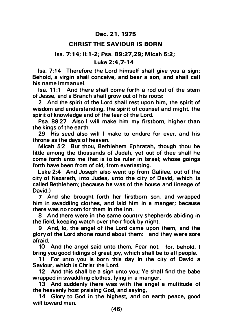# Dec. 21, 1975

# **CHRIST THE SAVIOUR IS BORN**

# lsa. 7: 1 4; 11: 1 -2; Psa. 89:27.29; M icah 5:2; Luke 2 :4,7-14

Isa. 7:14 Therefore the Lord himself shall give you a sign; Behold, a virgin shall conceive, and bear a son, and shall call his name Immanuel.

Isa. 11:1 And there shall come forth a rod out of the stem of Jesse, and a Branch shall grow out of his roots:

2 And the spirit of the Lord shall rest upon him, the spirit of wisdom and understanding, the spirit of counsel and might, the spirit of knowledge and of the fear of the Lord.

Psa. 89:27 Also I will make him my firstborn, higher than the kings of the earth.

29 His seed also will I make to endure for ever, and his throne as the days of heaven.

Micah 5:2 But thou, Bethlehem Ephratah, though thou be little among the thousands of Judah, yet out of thee shall he come forth unto me that is to be ruler in Israel; whose goings forth have been from of old, from everlasting.

Luke 2:4 And Joseph also went up from Galilee, out of the city of Nazareth, into Judea, unto the city of David, which is called Bethlehem; (because he was of the house and lineage of David:)

7 And she brought forth her firstborn son, and wrapped him in swaddling clothes, and laid him in a manger; because there was no room for them in the inn.

8 And there were in the same country shepherds abiding in the field, keeping watch over their flock by night.

9 And, lo, the angel of the Lord came upon them, and the glory of the Lord shone round about them: and they were sore afraid.

10 And the angel said unto them, Fear not: for, behold, I bring you good tidings of great joy, which shall be to all people.

11 For unto you is born this day in the city of David a Saviour, which is Christ the Lord.

12 And this shall be a sign unto you; Ye shall find the babe wrapped in swaddling clothes, lying in a manger.

13 And suddenly there was with the angel a multitude of the heavenly host praising God, and saying,

14 Glory to God in the highest, and on earth peace, good will toward men.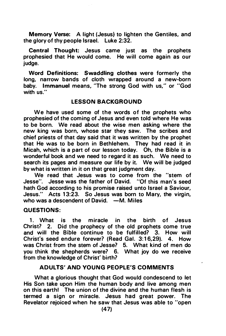Memory Verse: A light (Jesus) to lighten the Gentiles, and the glory of thy people Israel. Luke 2:32.

Central Thought: Jesus came just as the prophets prophesied that He would come. He will come again as our judge.

Word Definitions: Swaddling clothes were formerly the long, narrow bands of cloth wrapped around a new-born baby. Immanuel means, ''The strong God with us," or "God with us."

# LESSON BACKGROUND

We have used some of the words of the prophets who prophesied of the coming of Jesus and even told where He was to be born. We read about the wise men asking where the new king was born, whose star they saw. The scribes and chief priests of that day said that it was written by the prophet that He was to be born in Bethlehem. They had read it in Micah, which is a part of our lesson today. Oh, the Bible is a wonderful book and we need to regard it as such. We need to search its pages and measure our life by it. We will be judged by what is written in it on that great judgment day.

We read that Jesus was to come from the "stem of Jesse". Jesse was the father of David. "Of this man's seed hath God according to his promise raised unto Israel a Saviour, Jesus." Acts 1 3:23. So Jesus was born to Mary, the virgin, who was a descendent of David.  $-M$ . Miles

# QUESTIONS:

1. What is the miracle in the birth of Jesus Christ? 2. Did the prophecy of the old prophets come true and will the Bible continue to be fulfilled? 3. How will Christ's seed endure forever? (Read Gal. 3:16,29). 4. How was Christ from the stem of Jesse? 5. What kind of men do you think the shepherds were? 6. What joy do we receive from the knowledge of Christ' birth?

### ADULTS' AND YOUNG PEOPLE'S COMMENTS

 $\lambda$ 

What a glorious thought that God would condescend to let His Son take upon Him the human body and live among men on this earth! The union of the divine and the human flesh is termed a sign or miracle. Jesus had great power. The Revelator rejoiced when he saw that Jesus was able to "open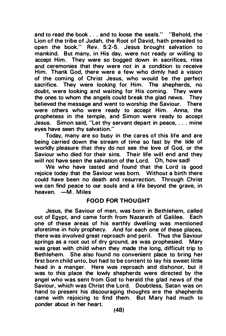and to read the book ... and to loose the seals." "Behold, the Lion of the tribe of Judah, the Root of David, hath prevailed to open the book.. . Rev. 5:2-5. Jesus brought salvation to mankind. But many, in His day, were not ready or willing to accept Him. They were so bogged down in sacrifices, rites and ceremonies that they were not in a condition to receive Him. Thank God, there were a few who dimly had a vision of the coming of Christ Jesus, who would be the perfect sacrifice. They were looking for Him. The shepherds, no doubt, were looking and waiting for His coming. They were the ones to whom the angels could break the glad news. They believed the message and went to worship the Saviour. There were others who were ready to accept Him. Anna, the prophetess in the temple, and Simon were ready to accept Jesus. Simon said, "Let thy servant depart in peace, ... mine eyes have seen thy salvation."

Today, many are so busy in the cares of this life and are being carried down the stream of time so fast by the tide of worldly pleasure that they do not see the love of God. or the Saviour who died for their sins. Their life will end and they will not have seen the salvation of the Lord. Oh, how sadl

We who have tasted and found that the Lord is good rejoice today that the Saviour was born. Without a birth there could have been no death and resurrection. Through Christ we can find peace to our souls and a life beyond the grave, in heaven.  $-M$ . Miles

#### FOOD FOR THOUGHT

Jesus, the Saviour of men, was born in Bethlehem, called out of Egypt, and came forth from Nazareth of Galilee. Each one of these areas of his earthly dwelling was mentioned aforetime in holy prophecy. And for each one of these places. there was involved great reproach and peril. Thus the Saviour springs as a root out of dry ground. as was prophesied. Mary was great with child when they made the long, difficult trip to Bethlehem. She also found no convenient place to bring her first born child unto, but had to be content to lay his sweet little head in a manger. Here was reproach and dishonor, but it was to this place the lowly shepherds were directed by the angel who was sent from God to herald the glad news of the Saviour, which was Christ the Lord. Doubtless. Satan was on hand to present his discouraging thoughts ere the shepherds came with rejoicing to find them. But Mary had much to ponder about in her heart.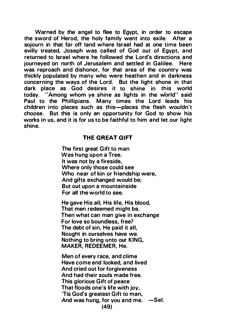Warned by the angel to flee to Egypt, in order to escape the sword of Herod, the holy family went into exile. After a sojourn in that far off land where Israel had at one time been evilly treated, Joseph was called of God out of Egypt, and returned to Israel where he followed the Lord's directions and journeyed on north of Jerusalem and settled in Galilee. Here was reproach and dishonor, for that area of the country was thickly populated by many who were heathen and in darkness concerning the ways of the Lord. But the light shone in that dark place as God desires it to shine in this world today. "Among whom ye shine as lights in the world" said Paul to the Phillipians. Many times the Lord leads his children into places such as this-places the flesh wouldn't choose. But this is only an opportunity for God to show his works in us, and it is for us to be faithful to him and let our light shine.

### THE GREAT GIFT

The first great Gift to man Was hung upon a Tree. It was not by a fireside, Where only those could see Who near of kin or friendship were, And gifts exchanged would be; But out upon a mountainside For all the world to see.

He gave His all, His life, His blood, That men redeemed might be. Then what can man give in exchange For love so boundless, free? The debt of sin, He paid it all, Nought in ourselves have we. Nothing to bring unto our KING, MAKER, REDEEMER, He.

Men of every race, and clime Have come and looked, and lived And cried out for forgiveness And had their souls made free. This glorious Gift of peace That floods one's life with joy, 'Tis God's greatest Gift to man, And was hung, for you and me.  $-$ Sel. (49)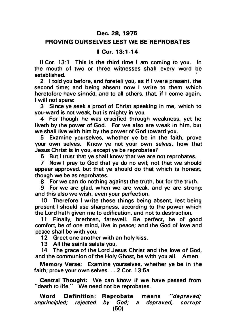#### Dec. 28, 1975

### PROVING OURSELVES LEST WE BE REPROBATES

### II Cor. 1 3:1- 14

II Cor. 13:1 This is the third time I am coming to you. In the mouth of two or three witnesses shall every word be established.

2 I told you before, and foretell you, as if I were present, the second time; and being absent now I write to them which heretofore have sinned, and to all others, that, if I come again, I will not spare:

3 Since ye seek a proof of Christ speaking in me, which to you-ward is not weak, but is mighty in you.

4 For though he was crucified through weakness, yet he liveth by the power of God. For we also are weak in him, but we shall live with him by the power of God toward you.

5 Examine yourselves, whether ye be in the faith; prove your own selves. Know ye not your own selves, how that Jesus Christ is in you, except ye be reprobates?

6 But I trust that ye shall know that we are not reprobates.

7 Now I pray to God that ye do no evil; not that we should appear approved, but that ye should do that which is honest, though we be as reprobates.

8 For we can do nothing against the truth, but for the truth.

9 For we are glad, when we are weak, and ye are strong: and this also we wish, even your perfection.

10 Therefore I write these things being absent, lest being present I should use sharpness, according to the power which the Lord hath given me to edification, and not to destruction.

11 Finally, brethren, farewell. Be perfect, be of good comfort, be of one mind, live in peace; and the God of love and peace shall be with you.

12 Greet one another with an holy kiss.

13 All the saints salute you.

14 The grace of the Lord Jesus Christ and the love of God, and the communion of the Holy Ghost, be with you all. Amen.

Memory Verse: Examine yourselves, whether ye be in the faith; prove your own selves. . . 2 Cor. 13:5a

Central Thought: We can know if we have passed from "death to life." We need not be reprobates.

Word Definition: Reprobate means "depraved;<br>norincipled: rejected by God: a depraved. corrunt unprincipled; rejected by God; a depraved, corrupt (50)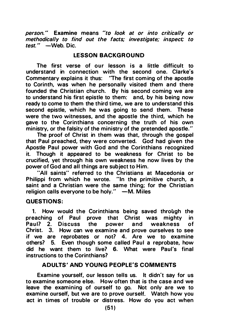person." Examine means "to look at or into critically or methodically to find out the facts; investigate; inspect: to  $test.$  "  $-Web.$  Dic.

# **LESSON BACKGROUND**

The first verse of our lesson is a little difficult to understand in connection with the second one. Clarke's Commentary explains it thus: "The first com ing of the apostle to Corinth, was when he personally visited them and there founded the Christian church. By his second coming we are to understand his first epistle to them: and, by his being now ready to come to them the third time, we are to understand this second epistle, which he was going to send them. These were the two witnesses, and the apostle the third, which he gave to the Corinthians concerning the truth of his own ministry, or the falsity of the ministry of the pretended apostle."

The proof of Christ in them was that, through the gospel that Paul preached, they were converted. God had given the Apostle Paul power with God and the Corinthians recognized it. Though it appeared to be weakness for Christ to be crucified, yet through his own weakness he now lives by the power of God and all things are subject to Him.

"All saints" referred to the Christians at Macedonia or Philippi from which he wrote. "In the primitive church, a saint and a Christian were the same thing; for the Christian religion calls everyone to be holy."  $-M$ . Miles

# QUESTIONS:

1. How would the Corinthians being saved through the preaching of Paul prove that Christ was mighty in<br>Paul? 2. Discuss the nower and weakness of Discuss the power and weakness of Christ. 3. How can we examine and prove ourselves to see if we are reprobates or not? 4. Are we to examine others? 5. Even though some called Paul a reprobate, how did he want them to live? 6. What were Paul's final instructions to the Corinthians?

# ADULTS ' AND YOUNG PEOPLE'S COMMENTS

Examine yourself, our lesson tells us. It didn't say for us to examine someone else. How often that is the case and we leave the examining of ourself to go. Not only are we to examine ourself, but we are to prove ourself. Watch how you act in times of trouble or distress. How do you act when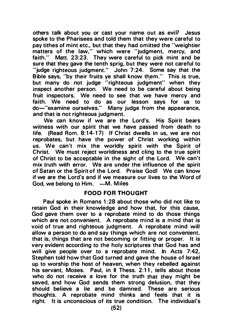others talk about you or cast your name out as evil? Jesus spoke to the Pharisees and told them that they were careful to pay tithes of mint etc., but that they had omitted the "weightier matters of the law," which were "judgment, mercy, and faith." Matt. 23:23. They were careful to pick mint and be sure that they gave the tenth sprig, but they were not careful to "judge righteous judgment." John 7:24. Some say that the Bible says, "by their fruits ye shall know them." This is true, but many do not judge "righteous judgment" when they inspect another person. We need to be careful about being fruit inspectors. We need to see that we have mercy and faith. We need to do as our lesson says for us to do-"examine ourselves." Many judge from the appearance, and that is not righteous judgment.

We can know if we are the Lord's. His Spirit bears witness with our spirit that we have passed from death to life. (Read Rom. 8:14-17) If Christ dwells in us, we are not reprobates, but have the power of Christ working within us. We can't mix the worldly spirit with the Spirit of Christ. We must reject worldiness and cling to the true spirit of Christ to be acceptable in the sight of the Lord. We can't mix truth with error. We are under the influence of the spirit of Satan or the Spirit of the Lord. Praise God! We can know if we are the Lord's and if we measure our lives to the Word of God, we belong to Him.  $-M$ . Miles

# FOOD FOR THOUGHT

Paul spoke in Romans 1:28 about those who did not like to retain God in their knowledge and how that, for this cause, God gave them over to a reprobate mind to do those things which are not convenient. A reprobate mind is a mind that is void of true and righteous judgment. A reprobate mind will allow a person to do and say things which are not convenient, that is, things that are not becoming or fitting or proper. It is very evident according to the holy scriptures that God has and will give people over to a reprobate mind. In Acts  $7:42$ , Stephen told how that God turned and gave the house of Israel up to worship the host of heaven, when they rebelled against his servant, Moses. Paul, in II Thess. 2:11, tells about those who do not receive a love for the truth that they might be saved, and how God sends them strong delusion, that they should believe a lie and be damned. These are serious thoughts. A reprobate mind thinks and feels that it is right. It is unconscious of its true condition. The individual's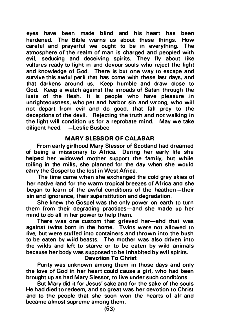eyes have been made blind and his heart has been hardened. The Bible warns us about these things. How careful and prayerful we ought to be in everything. The atmosphere of the realm of man is charged and peopled with evil, seducing and deceiving spirits. They fly about like vultures ready to light in and devour souls who reject the light and knowledge of God. There is but one way to escape and survive this awful peril that has come with these last days, and that darkens around us. Keep humble and draw close to God. Keep a watch against the inroads of Satan through the lusts of the flesh. It is people who have pleasure in unrighteousness, who pet and harbor sin and wrong, who will not depart from evil and do good, that fall prey to the deceptions of the devil. Rejecting the truth and not walking in the light will condition us for a reprobate mind. May we take diligent heed. -Leslie Busbee

# MARY SLESSOR OF CALABAR

From early girlhood Mary Slessor of Scotland had dreamed of being a missionary to Africa. During her early life she helped her widowed mother support the family, but while toiling in the mills, she planned for the day when she would carry the Gospel to the lost in West Africa.

The time came when she exchanged the cold grey skies of her native land for the warm tropical breezes of Africa and she began to learn of the awful conditions of the heathen-their sin and ignorance, their superstitution and degradation.

She knew the Gospel was the only power on earth to turn them from their degrading practices—and she made up her mind to do all in her power to help them.

There was one custom that grieved her-and that was against twins born in the home. Twins were not allowed to live, but were stuffed into containers and thrown into the bush to be eaten by wild beasts. The mother was also driven into the wilds and left to starve or to be eaten by wild animals because her body was supposed to be inhabited by evil spirits.

#### Devotion To Christ

Purity was unknown among them in those days and only the love of God in her heart could cause a girl, who had been brought up as had Mary Slessor, to live under such conditions.

But Mary did it for Jesus' sake and for the sake of the souls He had died to redeem, and so great was her devotion to Christ and to the people that she soon won the hearts of all and became a lmost supreme among them.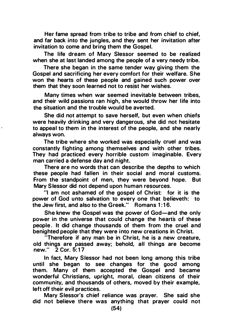Her fame spread from tribe to tribe and from chief to chief, and far back into the jungles, and they sent her invitation after invitation to come and bring them the Gospel.

The life dream of Mary Slessor seemed to be realized when she at last landed among the people of a very needy tribe.

There she began in the same tender way giving them the Gospel and sacrificing her every comfort for their welfare. She won the hearts of these people and gained such power over them that they soon learned not to resjst her wishes.

Many times when war seemed inevitable between tribes, and their wild passions ran high, she would throw her life into the situation and the trouble would be averted.

She did not attempt to save herself, but even when chiefs were heavily drinking and very dangerous, she did not hesitate to appeal to them in the interest of the people, and she nearly always won.

The tribe where she worked was especially cruel and was constantly fighting among themselves and with other tribes. They had practiced every horrible custom imaginable. Every man carried a defense day and night.

There are no words that can describe the depths to which these people had fallen in their social and moral customs. From the standpoint of men, they were beyond hope. But Mary Slessor did not depend upon human resources.

"I am not ashamed of the gospel of Christ: for it is the power of God unto salvation to every one that believeth: to the Jew first, and also to the Greek." Romans 1:16.

She knew the Gospel was the power of God-and the only power in the universe that could change the hearts of these people . It did change thousands of them from the cruel and benighted people that they were into new creations in Christ.

"Therefore if any man be in Christ, he is a new creature, old things are passed away; behold, all things are become new." 2 Cor. 5:17

In fact, Mary Slessor had not been long among this tribe until she began to see changes for the good among them. Many of them accepted the Gospel and became wonderful Christians, upright, moral, clean citizens of their community, and thousands of others, moved by their example, left off their evil practices.

Mary Slessor's chief reliance was prayer. She said she did not believe there was anything that prayer could not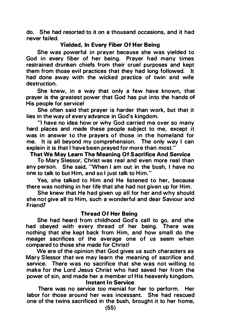do. She had resorted to it on a thousand occasions, and it had never fai led.

# Yielded, In Every Fiber Of Her Being

She was powerful in prayer because she was yielded to God in every fiber of her being. Prayer had many times restrained drunken chiefs from their cruel purposes and kept them from those evil practices that they had long followed. .It had done away with the wicked practice of twin and wife destruction.

She knew, in a way that only a few have known, that prayer is the greatest power that God has put into the hands of His people for service!

She often said that prayer is harder than work, but that it lies in the way of every advance in God's kingdom.

"I have no idea how or why God carried me over so many hard places and made these people subject to me, except it was in answer to the prayers of those in the homeland for me. It is all beyond my comprehension. The only way I can explain it is that I have been prayed for more than most."

#### That We May Learn The Meaning Of Sacrifice And Service

To Mary Slessor, Christ was real and even more real than any person. She said, 'When I am out in the bush, I have no one to talk to but Him, and so I just talk to Him."

Yes, she talked to Him and He listened to her, because there was nothing in her life that she had not given up for Him.

She knew that He had given up all for her and why should she not give all to Him, such a wonderful and dear Saviour and Friend?

#### Thread Of Her Being

She had heard from childhood God's call to go, and she had obeyed with every thread of her being. There was nothing that she kept back from Him, and how small do the meager sacrifices of the average one of us seem when compared to those she made for Christ!

We are of the opinion that God gives us such characters as Mary Slessor that we may learn the meaning of sacrifice and service. There was no sacrifice that she was not willing to make for the Lord Jesus Christ who had saved her from the power of sin, and made her a member of His heavenly kingdom. Instant In Service

There was no service too menial for her to perform. Her labor for those around her was incessant. She had rescued one of the twins sacrificed in the bush, brought it to her home,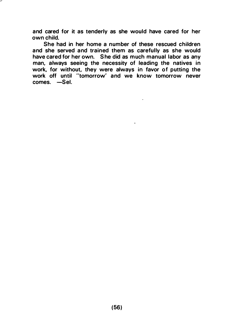and cared for it as tenderly as she would have cared for her own child.

She had in her home a number of these rescued children and she served and trained them as carefully as she would have cared for her own. She did as much manual labor as any man, always seeing the necessity of leading the natives in work, for without, they were always in favor of putting the work off until "tomorrow' and we know tomorrow never comes. -Sel.